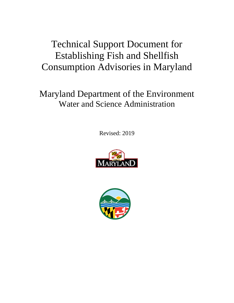# Technical Support Document for Establishing Fish and Shellfish Consumption Advisories in Maryland

# Maryland Department of the Environment Water and Science Administration

Revised: 2019



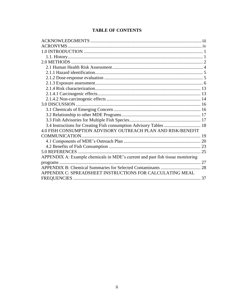|  | <b>TABLE OF CONTENTS</b> |
|--|--------------------------|
|--|--------------------------|

| 3.4 Instructions for Creating Fish consumption Advisory Tables  18             |  |
|--------------------------------------------------------------------------------|--|
| 4.0 FISH CONSUMPTION ADVISORY OUTREACH PLAN AND RISK/BENEFIT                   |  |
| COMMUNICATION                                                                  |  |
|                                                                                |  |
|                                                                                |  |
|                                                                                |  |
| APPENDIX A: Example chemicals in MDE's current and past fish tissue monitoring |  |
|                                                                                |  |
|                                                                                |  |
| APPENDIX C: SPREADSHEET INSTRUCTIONS FOR CALCULATING MEAL                      |  |
|                                                                                |  |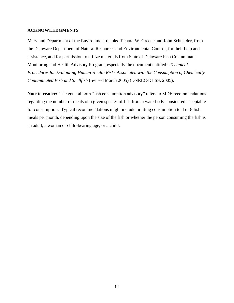#### <span id="page-2-0"></span>**ACKNOWLEDGMENTS**

Maryland Department of the Environment thanks Richard W. Greene and John Schneider, from the Delaware Department of Natural Resources and Environmental Control, for their help and assistance, and for permission to utilize materials from State of Delaware Fish Contaminant Monitoring and Health Advisory Program, especially the document entitled: *Technical Procedures for Evaluating Human Health Risks Associated with the Consumption of Chemically Contaminated Fish and Shellfish* (revised March 2005) (DNREC/DHSS, 2005).

**Note to reader:** The general term "fish consumption advisory" refers to MDE recommendations regarding the number of meals of a given species of fish from a waterbody considered acceptable for consumption. Typical recommendations might include limiting consumption to 4 or 8 fish meals per month, depending upon the size of the fish or whether the person consuming the fish is an adult, a woman of child-bearing age, or a child.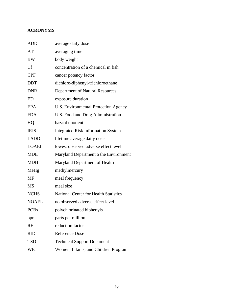# <span id="page-3-0"></span>**ACRONYMS**

| <b>ADD</b>             | average daily dose                           |
|------------------------|----------------------------------------------|
| AT                     | averaging time                               |
| BW                     | body weight                                  |
| Cf                     | concentration of a chemical in fish          |
| <b>CPF</b>             | cancer potency factor                        |
| <b>DDT</b>             | dichloro-diphenyl-trichloroethane            |
| <b>DNR</b>             | Department of Natural Resources              |
| ED                     | exposure duration                            |
| <b>EPA</b>             | <b>U.S. Environmental Protection Agency</b>  |
| <b>FDA</b>             | U.S. Food and Drug Administration            |
| HQ                     | hazard quotient                              |
| <b>IRIS</b>            | <b>Integrated Risk Information System</b>    |
| LADD                   | lifetime average daily dose                  |
| LOAEL                  | lowest observed adverse effect level         |
| <b>MDE</b>             | Maryland Department o the Environment        |
| MDH                    | Maryland Department of Health                |
| MeHg                   | methylmercury                                |
| MF                     | meal frequency                               |
| $\overline{\text{MS}}$ | meal size                                    |
| <b>NCHS</b>            | <b>National Center for Health Statistics</b> |
| NOAEL                  | no observed adverse effect level             |
| <b>PCBs</b>            | polychlorinated biphenyls                    |
| ppm                    | parts per million                            |
| RF                     | reduction factor                             |
| RfD                    | Reference Dose                               |
| <b>TSD</b>             | <b>Technical Support Document</b>            |
| <b>WIC</b>             | Women, Infants, and Children Program         |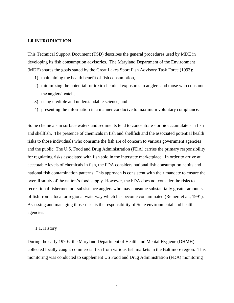#### <span id="page-4-0"></span>**1.0 INTRODUCTION**

This Technical Support Document (TSD) describes the general procedures used by MDE in developing its fish consumption advisories. The Maryland Department of the Environment (MDE) shares the goals stated by the Great Lakes Sport Fish Advisory Task Force (1993):

- 1) maintaining the health benefit of fish consumption,
- 2) minimizing the potential for toxic chemical exposures to anglers and those who consume the anglers' catch,
- 3) using credible and understandable science, and
- 4) presenting the information in a manner conducive to maximum voluntary compliance.

Some chemicals in surface waters and sediments tend to concentrate - or bioaccumulate - in fish and shellfish. The presence of chemicals in fish and shellfish and the associated potential health risks to those individuals who consume the fish are of concern to various government agencies and the public. The U.S. Food and Drug Administration (FDA) carries the primary responsibility for regulating risks associated with fish sold in the interstate marketplace. In order to arrive at acceptable levels of chemicals in fish, the FDA considers national fish consumption habits and national fish contamination patterns. This approach is consistent with their mandate to ensure the overall safety of the nation's food supply. However, the FDA does not consider the risks to recreational fishermen nor subsistence anglers who may consume substantially greater amounts of fish from a local or regional waterway which has become contaminated (Reinert et al., 1991). Assessing and managing those risks is the responsibility of State environmental and health agencies.

#### <span id="page-4-1"></span>1.1. History

During the early 1970s, the Maryland Department of Health and Mental Hygiene (DHMH) collected locally caught commercial fish from various fish markets in the Baltimore region. This monitoring was conducted to supplement US Food and Drug Administration (FDA) monitoring

1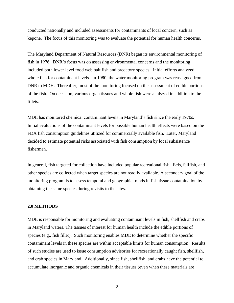conducted nationally and included assessments for contaminants of local concern, such as kepone. The focus of this monitoring was to evaluate the potential for human health concerns.

The Maryland Department of Natural Resources (DNR) began its environmental monitoring of fish in 1976. DNR's focus was on assessing environmental concerns and the monitoring included both lower level food web bait fish and predatory species. Initial efforts analyzed whole fish for contaminant levels. In 1980, the water monitoring program was reassigned from DNR to MDH. Thereafter, most of the monitoring focused on the assessment of edible portions of the fish. On occasion, various organ tissues and whole fish were analyzed in addition to the fillets.

MDE has monitored chemical contaminant levels in Maryland's fish since the early 1970s. Initial evaluations of the contaminant levels for possible human health effects were based on the FDA fish consumption guidelines utilized for commercially available fish. Later, Maryland decided to estimate potential risks associated with fish consumption by local subsistence fishermen.

In general, fish targeted for collection have included popular recreational fish. Eels, fallfish, and other species are collected when target species are not readily available. A secondary goal of the monitoring program is to assess temporal and geographic trends in fish tissue contamination by obtaining the same species during revisits to the sites.

#### <span id="page-5-0"></span>**2.0 METHODS**

MDE is responsible for monitoring and evaluating contaminant levels in fish, shellfish and crabs in Maryland waters. The tissues of interest for human health include the edible portions of species (e.g., fish fillet). Such monitoring enables MDE to determine whether the specific contaminant levels in these species are within acceptable limits for human consumption. Results of such studies are used to issue consumption advisories for recreationally caught fish, shellfish, and crab species in Maryland. Additionally, since fish, shellfish, and crabs have the potential to accumulate inorganic and organic chemicals in their tissues (even when these materials are

2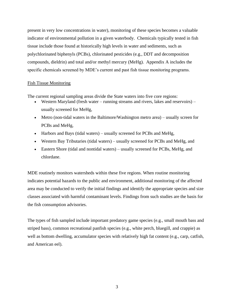present in very low concentrations in water), monitoring of these species becomes a valuable indicator of environmental pollution in a given waterbody. Chemicals typically tested in fish tissue include those found at historically high levels in water and sediments, such as polychlorinated biphenyls (PCBs), chlorinated pesticides (e.g., DDT and decomposition compounds, dieldrin) and total and/or methyl mercury (MeHg). Appendix A includes the specific chemicals screened by MDE's current and past fish tissue monitoring programs.

#### Fish Tissue Monitoring

The current regional sampling areas divide the State waters into five core regions:

- Western Maryland (fresh water running streams and rivers, lakes and reservoirs) usually screened for MeHg,
- Metro (non-tidal waters in the Baltimore/Washington metro area) usually screen for PCBs and MeHg,
- Harbors and Bays (tidal waters) usually screened for PCBs and MeHg,
- Western Bay Tributaries (tidal waters) usually screened for PCBs and MeHg, and
- Eastern Shore (tidal and nontidal waters) usually screened for PCBs, MeHg, and chlordane.

MDE routinely monitors watersheds within these five regions. When routine monitoring indicates potential hazards to the public and environment, additional monitoring of the affected area may be conducted to verify the initial findings and identify the appropriate species and size classes associated with harmful contaminant levels. Findings from such studies are the basis for the fish consumption advisories.

The types of fish sampled include important predatory game species (e.g., small mouth bass and striped bass), common recreational panfish species (e.g., white perch, bluegill, and crappie) as well as bottom dwelling, accumulator species with relatively high fat content (e.g., carp, catfish, and American eel).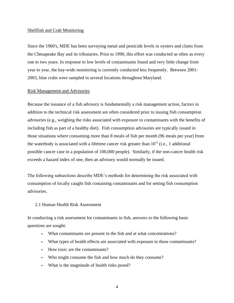#### Shellfish and Crab Monitoring

Since the 1960's, MDE has been surveying metal and pesticide levels in oysters and clams from the Chesapeake Bay and its tributaries. Prior to 1990, this effort was conducted as often as every one to two years. In response to low levels of contaminants found and very little change from year to year, the bay-wide monitoring is currently conducted less frequently. Between 2001- 2003, blue crabs were sampled in several locations throughout Maryland.

#### Risk Management and Advisories

Because the issuance of a fish advisory is fundamentally a risk management action, factors in addition to the technical risk assessment are often considered prior to issuing fish consumption advisories (e.g., weighing the risks associated with exposure to contaminants with the benefits of including fish as part of a healthy diet). Fish consumption advisories are typically issued in those situations where consuming more than 8 meals of fish per month (96 meals per year) from the waterbody is associated with a lifetime cancer risk greater than  $10^{-5}$  (i.e., 1 additional possible cancer case in a population of 100,000 people). Similarly, if the non-cancer health risk exceeds a hazard index of one, then an advisory would normally be issued.

The following subsections describe MDE's methods for determining the risk associated with consumption of locally caught fish containing contaminants and for setting fish consumption advisories.

#### <span id="page-7-0"></span>2.1 Human Health Risk Assessment

In conducting a risk assessment for contaminants in fish, answers to the following basic questions are sought:

- What contaminants are present in the fish and at what concentrations?
- What types of health effects are associated with exposure to these contaminants?
- How toxic are the contaminants?
- Who might consume the fish and how much do they consume?
- What is the magnitude of health risks posed?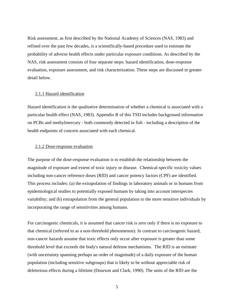Risk assessment, as first described by the National Academy of Sciences (NAS, 1983) and refined over the past few decades, is a scientifically-based procedure used to estimate the probability of adverse health effects under particular exposure conditions. As described by the NAS, risk assessment consists of four separate steps: hazard identification, dose-response evaluation, exposure assessment, and risk characterization. These steps are discussed in greater detail below.

#### <span id="page-8-0"></span>2.1.1 Hazard identification

Hazard identification is the qualitative determination of whether a chemical is associated with a particular health effect (NAS, 1983). Appendix B of this TSD includes background information on PCBs and methylmercury - both commonly detected in fish - including a description of the health endpoints of concern associated with each chemical.

#### <span id="page-8-1"></span>2.1.2 Dose-response evaluation

The purpose of the dose-response evaluation is to establish the relationship between the magnitude of exposure and extent of toxic injury or disease. Chemical-specific toxicity values including non-cancer reference doses (RfD) and cancer potency factors (CPF) are identified. This process includes: (a) the extrapolation of findings in laboratory animals or in humans from epidemiological studies to potentially exposed humans by taking into account interspecies variability; and (b) extrapolation from the general population to the more sensitive individuals by incorporating the range of sensitivities among humans.

For carcinogenic chemicals, it is assumed that cancer risk is zero only if there is no exposure to that chemical (referred to as a non-threshold phenomenon). In contrast to carcinogenic hazard, non-cancer hazards assume that toxic effects only occur after exposure is greater than some threshold level that exceeds the body's natural defense mechanisms. The RfD is an estimate (with uncertainty spanning perhaps an order of magnitude) of a daily exposure of the human population (including sensitive subgroups) that is likely to be without appreciable risk of deleterious effects during a lifetime (Dourson and Clark, 1990). The units of the RfD are the

5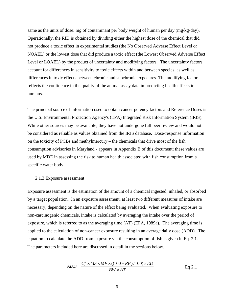same as the units of dose: mg of contaminant per body weight of human per day (mg/kg-day). Operationally, the RfD is obtained by dividing either the highest dose of the chemical that did not produce a toxic effect in experimental studies (the No Observed Adverse Effect Level or NOAEL) or the lowest dose that did produce a toxic effect (the Lowest Observed Adverse Effect Level or LOAEL) by the product of uncertainty and modifying factors. The uncertainty factors account for differences in sensitivity to toxic effects within and between species, as well as differences in toxic effects between chronic and subchronic exposures. The modifying factor reflects the confidence in the quality of the animal assay data in predicting health effects in humans.

The principal source of information used to obtain cancer potency factors and Reference Doses is the U.S. Environmental Protection Agency's (EPA) Integrated Risk Information System (IRIS). While other sources may be available, they have not undergone full peer review and would not be considered as reliable as values obtained from the IRIS database. Dose-response information on the toxicity of PCBs and methylmercury – the chemicals that drive most of the fish consumption advisories in Maryland - appears in Appendix B of this document; these values are used by MDE in assessing the risk to human health associated with fish consumption from a specific water body.

#### <span id="page-9-0"></span>2.1.3 Exposure assessment

Exposure assessment is the estimation of the amount of a chemical ingested, inhaled, or absorbed by a target population. In an exposure assessment, at least two different measures of intake are necessary, depending on the nature of the effect being evaluated. When evaluating exposure to non-carcinogenic chemicals, intake is calculated by averaging the intake over the period of exposure, which is referred to as the averaging time (AT) (EPA, 1989a). The averaging time is applied to the calculation of non-cancer exposure resulting in an average daily dose (ADD). The equation to calculate the ADD from exposure via the consumption of fish is given in Eq. 2.1. The parameters included here are discussed in detail in the sections below.

$$
ADD = \frac{Cf \times MS \times MF \times ((100 - RF) / 100) \times ED}{BW \times AT}
$$
 Eq 2.1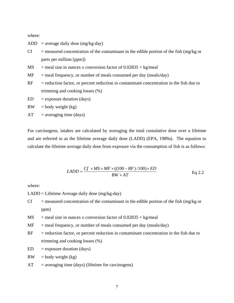where:

ADD = average daily dose  $(mg/kg-day)$ 

- $Cf$  = measured concentration of the contaminant in the edible portion of the fish (mg/kg or parts per million [ppm])
- $MS$  = meal size in ounces x conversion factor of 0.02835 = kg/meal
- $MF$  = meal frequency, or number of meals consumed per day (meals/day)
- $RF = reduction factor, or percent reduction in contamin concentration in the fish due to$ trimming and cooking losses (%)
- $ED =$  exposure duration (days)
- $BW = body weight (kg)$
- $AT = averageing time (days)$

For carcinogens, intakes are calculated by averaging the total cumulative dose over a lifetime and are referred to as the lifetime average daily dose (LADD) (EPA, 1989a). The equation to calculate the lifetime average daily dose from exposure via the consumption of fish is as follows:

$$
LADD = \frac{Cf \times MS \times MF \times ((100 - RF)/100) \times ED}{BW \times AT}
$$
 Eq 2.2

where:

LADD = Lifetime Average daily dose (mg/kg-day)

- $Cf$  = measured concentration of the contaminant in the edible portion of the fish (mg/kg or ppm)
- $MS$  = meal size in ounces x conversion factor of 0.02835 = kg/meal
- $MF$  = meal frequency, or number of meals consumed per day (meals/day)
- $RF = reduction factor, or percent reduction in contamin concentration in the fish due to$ trimming and cooking losses (%)
- $ED = exposure duration (days)$
- $BW = body weight (kg)$
- $AT = averageing time (days) (lifetime for carcinogens)$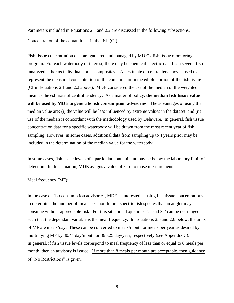Parameters included in Equations 2.1 and 2.2 are discussed in the following subsections.

### Concentration of the contaminant in the fish (Cf):

Fish tissue concentration data are gathered and managed by MDE's fish tissue monitoring program. For each waterbody of interest, there may be chemical-specific data from several fish (analyzed either as individuals or as composites). An estimate of central tendency is used to represent the measured concentration of the contaminant in the edible portion of the fish tissue (Cf in Equations 2.1 and 2.2 above). MDE considered the use of the median or the weighted mean as the estimate of central tendency. As a matter of policy**, the median fish tissue value will be used by MDE to generate fish consumption advisories**. The advantages of using the median value are: (i) the value will be less influenced by extreme values in the dataset, and (ii) use of the median is concordant with the methodology used by Delaware. In general, fish tissue concentration data for a specific waterbody will be drawn from the most recent year of fish sampling. However, in some cases, additional data from sampling up to 4 years prior may be included in the determination of the median value for the waterbody.

In some cases, fish tissue levels of a particular contaminant may be below the laboratory limit of detection. In this situation, MDE assigns a value of zero to those measurements.

#### Meal frequency (MF):

In the case of fish consumption advisories, MDE is interested is using fish tissue concentrations to determine the number of meals per month for a specific fish species that an angler may consume without appreciable risk. For this situation, Equations 2.1 and 2.2 can be rearranged such that the dependant variable is the meal frequency. In Equations 2.5 and 2.6 below, the units of MF are meals/day. These can be converted to meals/month or meals per year as desired by multiplying MF by 30.44 day/month or 365.25 day/year, respectively (see Appendix C). In general, if fish tissue levels correspond to meal frequency of less than or equal to 8 meals per month, then an advisory is issued. If more than 8 meals per month are acceptable, then guidance of "No Restrictions" is given.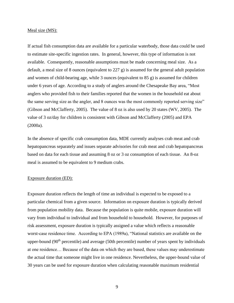#### Meal size (MS):

If actual fish consumption data are available for a particular waterbody, those data could be used to estimate site-specific ingestion rates. In general, however, this type of information is not available. Consequently, reasonable assumptions must be made concerning meal size. As a default, a meal size of 8 ounces (equivalent to 227 g) is assumed for the general adult population and women of child-bearing age, while 3 ounces (equivalent to 85 g) is assumed for children under 6 years of age. According to a study of anglers around the Chesapeake Bay area, "Most anglers who provided fish to their families reported that the women in the household eat about the same serving size as the angler, and 8 ounces was the most commonly reported serving size" (Gibson and McClafferty, 2005). The value of 8 oz is also used by 20 states (WV, 2005). The value of 3 oz/day for children is consistent with Gibson and McClafferty (2005) and EPA (2000a).

In the absence of specific crab consumption data, MDE currently analyses crab meat and crab hepatopancreas separately and issues separate advisories for crab meat and crab hepatopancreas based on data for each tissue and assuming 8 oz or 3 oz consumption of each tissue. An 8-oz meal is assumed to be equivalent to 9 medium crabs.

#### Exposure duration (ED):

Exposure duration reflects the length of time an individual is expected to be exposed to a particular chemical from a given source. Information on exposure duration is typically derived from population mobility data. Because the population is quite mobile, exposure duration will vary from individual to individual and from household to household. However, for purposes of risk assessment, exposure duration is typically assigned a value which reflects a reasonable worst-case residence time. According to EPA (1989a), "National statistics are available on the upper-bound  $(90<sup>th</sup>$  percentile) and average (50th percentile) number of years spent by individuals at one residence… Because of the data on which they are based, these values may underestimate the actual time that someone might live in one residence. Nevertheless, the upper-bound value of 30 years can be used for exposure duration when calculating reasonable maximum residential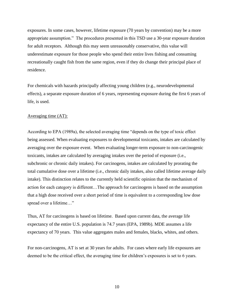exposures. In some cases, however, lifetime exposure (70 years by convention) may be a more appropriate assumption." The procedures presented in this TSD use a 30-year exposure duration for adult receptors. Although this may seem unreasonably conservative, this value will underestimate exposure for those people who spend their entire lives fishing and consuming recreationally caught fish from the same region, even if they do change their principal place of residence.

For chemicals with hazards principally affecting young children (e.g., neurodevelopmental effects), a separate exposure duration of 6 years, representing exposure during the first 6 years of life, is used.

#### Averaging time (AT):

According to EPA (1989a), the selected averaging time "depends on the type of toxic effect being assessed. When evaluating exposures to developmental toxicants, intakes are calculated by averaging over the exposure event. When evaluating longer-term exposure to non-carcinogenic toxicants, intakes are calculated by averaging intakes over the period of exposure (i.e., subchronic or chronic daily intakes). For carcinogens, intakes are calculated by prorating the total cumulative dose over a lifetime (i.e., chronic daily intakes, also called lifetime average daily intake). This distinction relates to the currently held scientific opinion that the mechanism of action for each category is different…The approach for carcinogens is based on the assumption that a high dose received over a short period of time is equivalent to a corresponding low dose spread over a lifetime..."

Thus, AT for carcinogens is based on lifetime. Based upon current data, the average life expectancy of the entire U.S. population is 74.7 years (EPA, 1989b). MDE assumes a life expectancy of 70 years. This value aggregates males and females, blacks, whites, and others.

For non-carcinogens, AT is set at 30 years for adults. For cases where early life exposures are deemed to be the critical effect, the averaging time for children's exposures is set to 6 years.

10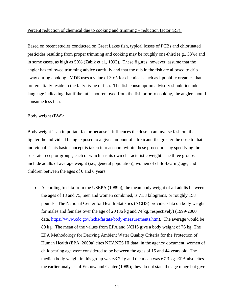#### Percent reduction of chemical due to cooking and trimming – reduction factor (RF):

Based on recent studies conducted on Great Lakes fish, typical losses of PCBs and chlorinated pesticides resulting from proper trimming and cooking may be roughly one-third (e.g., 33%) and in some cases, as high as 50% (Zabik et al., 1993). These figures, however, assume that the angler has followed trimming advice carefully and that the oils in the fish are allowed to drip away during cooking. MDE uses a value of 30% for chemicals such as lipophilic organics that preferentially reside in the fatty tissue of fish. The fish consumption advisory should include language indicating that if the fat is not removed from the fish prior to cooking, the angler should consume less fish.

#### Body weight (BW):

Body weight is an important factor because it influences the dose in an inverse fashion; the lighter the individual being exposed to a given amount of a toxicant, the greater the dose to that individual. This basic concept is taken into account within these procedures by specifying three separate receptor groups, each of which has its own characteristic weight. The three groups include adults of average weight (i.e., general population), women of child-bearing age, and children between the ages of 0 and 6 years.

• According to data from the USEPA (1989b), the mean body weight of all adults between the ages of 18 and 75, men and women combined, is 71.8 kilograms, or roughly 158 pounds. The National Center for Health Statistics (NCHS) provides data on body weight for males and females over the age of 20 (86 kg and 74 kg, respectively) (1999-2000 data, [https://www.cdc.gov/nchs/fastats/body-measurements.htm\)](https://www.cdc.gov/nchs/fastats/body-measurements.htm). The average would be 80 kg. The mean of the values from EPA and NCHS give a body weight of 76 kg. The EPA Methodology for Deriving Ambient Water Quality Criteria for the Protection of Human Health (EPA, 2000a) cites NHANES III data; in the agency document, women of childbearing age were considered to be between the ages of 15 and 44 years old. The median body weight in this group was 63.2 kg and the mean was 67.3 kg. EPA also cites the earlier analyses of Ershow and Canter (1989); they do not state the age range but give

11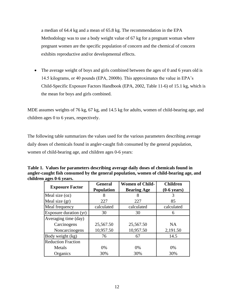a median of 64.4 kg and a mean of 65.8 kg. The recommendation in the EPA Methodology was to use a body weight value of 67 kg for a pregnant woman where pregnant women are the specific population of concern and the chemical of concern exhibits reproductive and/or developmental effects.

• The average weight of boys and girls combined between the ages of 0 and 6 years old is 14.5 kilograms, or 40 pounds (EPA, 2000b). This approximates the value in EPA's Child-Specific Exposure Factors Handbook (EPA, 2002, Table 11-6) of 15.1 kg, which is the mean for boys and girls combined.

MDE assumes weights of 76 kg, 67 kg, and 14.5 kg for adults, women of child-bearing age, and children ages 0 to 6 years, respectively.

The following table summarizes the values used for the various parameters describing average daily doses of chemicals found in angler-caught fish consumed by the general population, women of child-bearing age, and children ages 0-6 years:

| Table 1. Values for parameters describing average daily doses of chemicals found in    |
|----------------------------------------------------------------------------------------|
| angler-caught fish consumed by the general population, women of child-bearing age, and |
| children ages 0-6 years.                                                               |

|                           | <b>General</b>    | <b>Women of Child-</b> | <b>Children</b>       |
|---------------------------|-------------------|------------------------|-----------------------|
| <b>Exposure Factor</b>    | <b>Population</b> | <b>Bearing Age</b>     | $(0-6 \text{ years})$ |
| Meal size (oz)            | 8                 | 8                      | 3                     |
| Meal size (gr)            | 227               | 227                    | 85                    |
| Meal frequency            | calculated        | calculated             | calculated            |
| Exposure duration (yr)    | 30                | 30                     | 6                     |
| Averaging time (day)      |                   |                        |                       |
| Carcinogens               | 25,567.50         | 25,567.50              | <b>NA</b>             |
| Noncarcinogens            | 10,957.50         | 10,957.50              | 2,191.50              |
| Body weight (kg)          | 76                | 67                     | 14.5                  |
| <b>Reduction Fraction</b> |                   |                        |                       |
| Metals                    | $0\%$             | 0%                     | 0%                    |
| Organics                  | 30%               | 30%                    | 30%                   |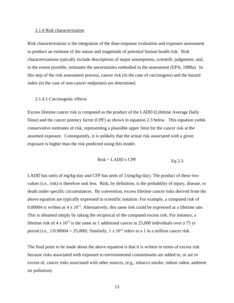#### <span id="page-16-0"></span>2.1.4 Risk characterization

Risk characterization is the integration of the dose-response evaluation and exposure assessment to produce an estimate of the nature and magnitude of potential human health risk. Risk characterizations typically include descriptions of major assumptions, scientific judgments, and, to the extent possible, estimates the uncertainties embodied in the assessment (EPA, 1989a). In this step of the risk assessment process, cancer risk (in the case of carcinogens) and the hazard index (in the case of non-cancer endpoints) are determined.

#### <span id="page-16-1"></span>2.1.4.1 Carcinogenic effects

Excess lifetime cancer risk is computed as the product of the LADD (Lifetime Average Daily Dose) and the cancer potency factor (CPF) as shown in equation 2.3 below. This equation yields conservative estimates of risk, representing a plausible upper limit for the cancer risk at the assumed exposure. Consequently, it is unlikely that the actual risk associated with a given exposure is higher than the risk predicted using this model.

$$
Risk = LADD \times CPF
$$
 Eq 2.3

LADD has units of mg/kg-day and CFP has units of  $1/(mg/kg$ -day). The product of these two values (i.e., risk) is therefore unit less. Risk, by definition, is the probability of injury, disease, or death under specific circumstances. By convention, excess lifetime cancer risks derived from the above equation are typically expressed in scientific notation. For example, a computed risk of 0.00004 is written as  $4 \times 10^{-5}$ . Alternatively, this same risk could be expressed as a lifetime rate. This is obtained simply by taking the reciprocal of the computed excess risk. For instance, a lifetime risk of 4 x  $10^{-5}$  is the same as 1 additional cancer in 25,000 individuals over a 75 yr period (i.e.,  $1/0.00004 = 25,000$ ). Similarly,  $1 \times 10^{-6}$  refers to a 1 in a million cancer risk.

The final point to be made about the above equation is that it is written in terms of excess risk because risks associated with exposure to environmental contaminants are added to, or are in excess of, cancer risks associated with other sources, (e.g., tobacco smoke, indoor radon, ambient air pollution).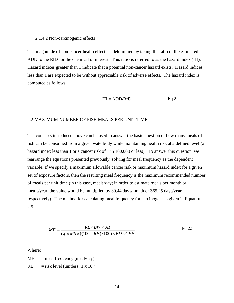#### <span id="page-17-0"></span>2.1.4.2 Non-carcinogenic effects

The magnitude of non-cancer health effects is determined by taking the ratio of the estimated ADD to the RfD for the chemical of interest. This ratio is referred to as the hazard index (HI). Hazard indices greater than 1 indicate that a potential non-cancer hazard exists. Hazard indices less than 1 are expected to be without appreciable risk of adverse effects. The hazard index is computed as follows:

$$
HI = ADD/RFD
$$
 Eq 2.4

#### 2.2 MAXIMUM NUMBER OF FISH MEALS PER UNIT TIME

The concepts introduced above can be used to answer the basic question of how many meals of fish can be consumed from a given waterbody while maintaining health risk at a defined level (a hazard index less than 1 or a cancer risk of 1 in 100,000 or less). To answer this question, we rearrange the equations presented previously, solving for meal frequency as the dependent variable. If we specify a maximum allowable cancer risk or maximum hazard index for a given set of exposure factors, then the resulting meal frequency is the maximum recommended number of meals per unit time (in this case, meals/day; in order to estimate meals per month or meals/year, the value would be multiplied by 30.44 days/month or 365.25 days/year, respectively). The method for calculating meal frequency for carcinogens is given in Equation  $2.5:$ 

$$
MF = \frac{RL \times BW \times AT}{Cf \times MS \times ((100 - RF) / 100) \times ED \times CPF}
$$
 Eq 2.5

Where:

 $MF$  = meal frequency (meal/day)

RL = risk level (unitless; 1 x  $10^{-5}$ )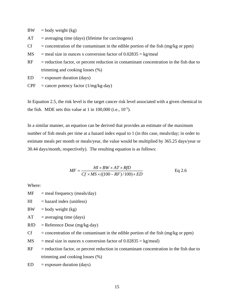$BW = body weight (kg)$ 

- $AT = averageing time (days) (lifetime for carcinogens)$
- $Cf$  = concentration of the contaminant in the edible portion of the fish (mg/kg or ppm)
- $MS$  = meal size in ounces x conversion factor of  $0.02835 = \text{kg/meal}$
- $RF = reduction factor, or percent reduction in contamin concentration in the fish due to$ trimming and cooking losses (%)
- $ED =$  exposure duration (days)
- $CPF = \text{cancer potency factor} (1/mg/kg-day)$

In Equation 2.5, the risk level is the target cancer risk level associated with a given chemical in the fish. MDE sets this value at 1 in  $100,000$  (i.e.,  $10^{-5}$ ).

In a similar manner, an equation can be derived that provides an estimate of the maximum number of fish meals per time at a hazard index equal to 1 (in this case, meals/day; in order to estimate meals per month or meals/year, the value would be multiplied by 365.25 days/year or 30.44 days/month, respectively). The resulting equation is as follows:

$$
MF = \frac{HI \times BW \times AT \times RfD}{Cf \times MS \times ((100 - RF) / 100) \times ED}
$$
 Eq 2.6

Where:

- $MF$  = meal frequency (meals/day)
- $HI =$  hazard index (unitless)
- $BW = body weight (kg)$
- $AT = averageing time (days)$
- $RfD$  = Reference Dose (mg/kg-day)
- $Cf$  = concentration of the contaminant in the edible portion of the fish (mg/kg or ppm)
- $MS$  = meal size in ounces x conversion factor of  $0.02835 = \text{kg/meal}$ )
- $RF = reduction factor, or percent reduction in contamin concentration in the fish due to$ trimming and cooking losses (%)
- $ED =$  exposure duration (days)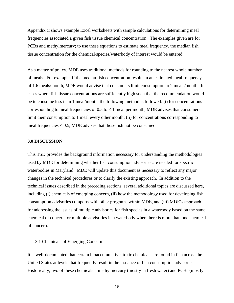Appendix C shows example Excel worksheets with sample calculations for determining meal frequencies associated a given fish tissue chemical concentration. The examples given are for PCBs and methylmercury; to use these equations to estimate meal frequency, the median fish tissue concentration for the chemical/species/waterbody of interest would be entered.

As a matter of policy, MDE uses traditional methods for rounding to the nearest whole number of meals. For example, if the median fish concentration results in an estimated meal frequency of 1.6 meals/month, MDE would advise that consumers limit consumption to 2 meals/month. In cases where fish tissue concentrations are sufficiently high such that the recommendation would be to consume less than 1 meal/month, the following method is followed: (i) for concentrations corresponding to meal frequencies of  $0.5$  to  $\lt 1$  meal per month, MDE advises that consumers limit their consumption to 1 meal every other month; (ii) for concentrations corresponding to meal frequencies  $< 0.5$ , MDE advises that those fish not be consumed.

#### <span id="page-19-0"></span>**3.0 DISCUSSION**

This TSD provides the background information necessary for understanding the methodologies used by MDE for determining whether fish consumption advisories are needed for specific waterbodies in Maryland. MDE will update this document as necessary to reflect any major changes in the technical procedures or to clarify the existing approach. In addition to the technical issues described in the preceding sections, several additional topics are discussed here, including (i) chemicals of emerging concern, (ii) how the methodology used for developing fish consumption advisories comports with other programs within MDE, and (iii) MDE's approach for addressing the issues of multiple advisories for fish species in a waterbody based on the same chemical of concern, or multiple advisories in a waterbody when there is more than one chemical of concern.

#### <span id="page-19-1"></span>3.1 Chemicals of Emerging Concern

It is well-documented that certain bioaccumulative, toxic chemicals are found in fish across the United States at levels that frequently result in the issuance of fish consumption advisories. Historically, two of these chemicals – methylmercury (mostly in fresh water) and PCBs (mostly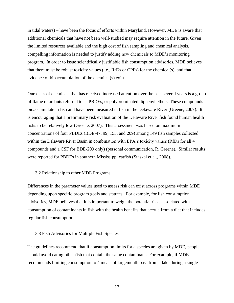in tidal waters) – have been the focus of efforts within Maryland. However, MDE is aware that additional chemicals that have not been well-studied may require attention in the future. Given the limited resources available and the high cost of fish sampling and chemical analysis, compelling information is needed to justify adding new chemicals to MDE's monitoring program. In order to issue scientifically justifiable fish consumption advisories, MDE believes that there must be robust toxicity values (i.e., RfDs or CPFs) for the chemical(s), and that evidence of bioaccumulation of the chemical(s) exists.

One class of chemicals that has received increased attention over the past several years is a group of flame retardants referred to as PBDEs, or polybrominated diphenyl ethers. These compounds bioaccumulate in fish and have been measured in fish in the Delaware River (Greene, 2007). It is encouraging that a preliminary risk evaluation of the Delaware River fish found human health risks to be relatively low (Greene, 2007). This assessment was based on maximum concentrations of four PBDEs (BDE-47, 99, 153, and 209) among 149 fish samples collected within the Delaware River Basin in combination with EPA's toxicity values (RfDs for all 4 compounds and a CSF for BDE-209 only) (personal communication, R. Greene). Similar results were reported for PBDEs in southern Mississippi catfish (Staskal et al., 2008).

#### <span id="page-20-0"></span>3.2 Relationship to other MDE Programs

Differences in the parameter values used to assess risk can exist across programs within MDE depending upon specific program goals and statutes. For example, for fish consumption advisories, MDE believes that it is important to weigh the potential risks associated with consumption of contaminants in fish with the health benefits that accrue from a diet that includes regular fish consumption.

#### <span id="page-20-1"></span>3.3 Fish Advisories for Multiple Fish Species

The guidelines recommend that if consumption limits for a species are given by MDE, people should avoid eating other fish that contain the same contaminant. For example, if MDE recommends limiting consumption to 4 meals of largemouth bass from a lake during a single

17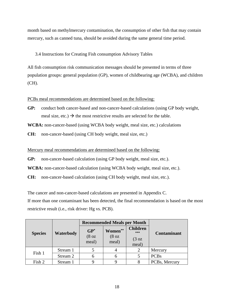month based on methylmercury contamination, the consumption of other fish that may contain mercury, such as canned tuna, should be avoided during the same general time period.

# <span id="page-21-0"></span>3.4 Instructions for Creating Fish consumption Advisory Tables

All fish consumption risk communication messages should be presented in terms of three population groups: general population (GP), women of childbearing age (WCBA), and children (CH).

PCBs meal recommendations are determined based on the following:

**GP:** conduct both cancer-based and non-cancer-based calculations (using GP body weight, meal size, etc.)  $\rightarrow$  the most restrictive results are selected for the table.

**WCBA:** non-cancer-based (using WCBA body weight, meal size, etc.) calculations

**CH:** non-cancer-based (using CH body weight, meal size, etc.)

Mercury meal recommendations are determined based on the following:

**GP:** non-cancer-based calculation (using GP body weight, meal size, etc.).

**WCBA:** non-cancer-based calculation (using WCBA body weight, meal size, etc.).

**CH:** non-cancer-based calculation (using CH body weight, meal size, etc.).

The cancer and non-cancer-based calculations are presented in Appendix C.

If more than one contaminant has been detected, the final recommendation is based on the most restrictive result (i.e., risk driver: Hg vs. PCB).

|                |                  |                             | <b>Recommended Meals per Month</b> |                        |                    |  |
|----------------|------------------|-----------------------------|------------------------------------|------------------------|--------------------|--|
| <b>Species</b> | <b>Waterbody</b> | $GP^*$                      | Women**                            | <b>Children</b><br>*** | <b>Contaminant</b> |  |
|                |                  | (8 <sub>oz</sub> )<br>meal) | (8 <sub>oz</sub> )<br>meal)        | $(3 \text{ oz})$       |                    |  |
|                |                  |                             |                                    | meal)                  |                    |  |
| Fish 1         | Stream 1         |                             |                                    |                        | Mercury            |  |
|                | Stream 2         |                             | 6                                  |                        | <b>PCBs</b>        |  |
| Fish 2         | Stream 1         |                             |                                    |                        | PCBs, Mercury      |  |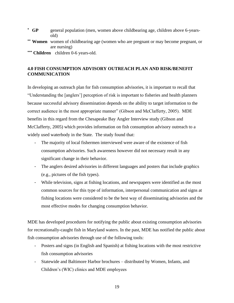- **\* GP** general population (men, women above childbearing age, children above 6-yearsold)
- **\*\* Women** women of childbearing age (women who are pregnant or may become pregnant, or are nursing)
- **\*\*\* Children** children 0-6 years-old.

# <span id="page-22-0"></span>**4.0 FISH CONSUMPTION ADVISORY OUTREACH PLAN AND RISK/BENEFIT COMMUNICATION**

In developing an outreach plan for fish consumption advisories, it is important to recall that "Understanding the [anglers'] perception of risk is important to fisheries and health planners because successful advisory dissemination depends on the ability to target information to the correct audience in the most appropriate manner" (Gibson and McClafferty, 2005). MDE benefits in this regard from the Chesapeake Bay Angler Interview study (Gibson and McClafferty, 2005) which provides information on fish consumption advisory outreach to a widely used waterbody in the State. The study found that:

- The majority of local fishermen interviewed were aware of the existence of fish consumption advisories. Such awareness however did not necessary result in any significant change in their behavior.
- The anglers desired advisories in different languages and posters that include graphics (e.g., pictures of the fish types).
- While television, signs at fishing locations, and newspapers were identified as the most common sources for this type of information, interpersonal communication and signs at fishing locations were considered to be the best way of disseminating advisories and the most effective modes for changing consumption behavior.

MDE has developed procedures for notifying the public about existing consumption advisories for recreationally-caught fish in Maryland waters. In the past, MDE has notified the public about fish consumption advisories through use of the following tools:

- Posters and signs (in English and Spanish) at fishing locations with the most restrictive fish consumption advisories
- Statewide and Baltimore Harbor brochures distributed by Women, Infants, and Children's (WIC) clinics and MDE employees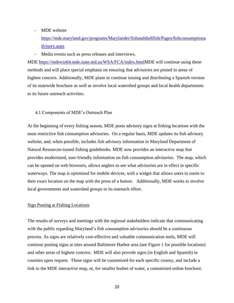#### - MDE website

[https://mde.maryland.gov/programs/Marylander/fishandshellfish/Pages/fishconsumptiona](https://mde.maryland.gov/programs/Marylander/fishandshellfish/Pages/fishconsumptionadvisory.aspx) [dvisory.aspx](https://mde.maryland.gov/programs/Marylander/fishandshellfish/Pages/fishconsumptionadvisory.aspx)

- Media events such as press releases and interviews.

MDE [https://mdewin64.mde.state.md.us/WSA/FCA/index.htmlM](https://mdewin64.mde.state.md.us/WSA/FCA/index.html)DE will continue using these methods and will place special emphasis on ensuring that advisories are posted in areas of highest concern. Additionally, MDE plans to continue issuing and distributing a Spanish version of its statewide brochure as well as involve local watershed groups and local health departments in its future outreach activities.

#### <span id="page-23-0"></span>4.1 Components of MDE's Outreach Plan

At the beginning of every fishing season, MDE posts advisory signs at fishing locations with the most restrictive fish consumption advisories. On a regular basis, MDE updates its fish advisory website, and, when possible, includes fish advisory information in Maryland Department of Natural Resources-issued fishing guidebooks. MDE now provides an interactive map that provides modernized, user-friendly information on fish consumption advisories. The map, which can be opened on web browsers, allows anglers to see what advisories are in effect in specific waterways. The map is optimized for mobile devices, with a widget that allows users to zoom to their exact location on the map with the press of a button. Additionally, MDE works to involve local governments and watershed groups in its outreach effort.

#### Sign Posting at Fishing Locations

The results of surveys and meetings with the regional stakeholders indicate that communicating with the public regarding Maryland's fish consumption advisories should be a continuous process. As signs are relatively cost-effective and valuable communication tools, MDE will continue posting signs at sites around Baltimore Harbor area (see Figure 1 for possible locations) and other areas of highest concern. MDE will also provide signs (in English and Spanish) to counties upon request. These signs will be customized for each specific county, and include a link to the MDE interactive map, or, for smaller bodies of water, a customized online brochure.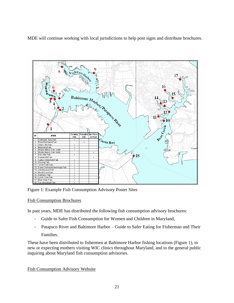MDE will continue working with local jurisdictions to help post signs and distribute brochures.



Figure 1: Example Fish Consumption Advisory Poster Sites

# Fish Consumption Brochures

In past years, MDE has distributed the following fish consumption advisory brochures:

- Guide to Safer Fish Consumption for Women and Children in Maryland,
- Patapsco River and Baltimore Harbor Guide to Safer Eating for Fisherman and Their Families.

These have been distributed to fishermen at Baltimore Harbor fishing locations (Figure 1), to new or expecting mothers visiting WIC clinics throughout Maryland, and to the general public inquiring about Maryland fish consumption advisories.

Fish Consumption Advisory Website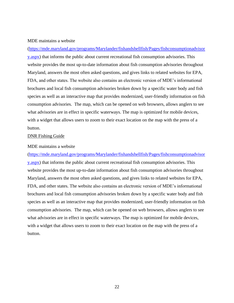#### MDE maintains a website

[\(https://mde.maryland.gov/programs/Marylander/fishandshellfish/Pages/fishconsumptionadvisor](https://mde.maryland.gov/programs/Marylander/fishandshellfish/Pages/fishconsumptionadvisory.aspx) [y.aspx\)](https://mde.maryland.gov/programs/Marylander/fishandshellfish/Pages/fishconsumptionadvisory.aspx) that informs the public about current recreational fish consumption advisories. This website provides the most up-to-date information about fish consumption advisories throughout Maryland, answers the most often asked questions, and gives links to related websites for EPA, FDA, and other states. The website also contains an electronic version of MDE's informational brochures and local fish consumption advisories broken down by a specific water body and fish species as well as an interactive map that provides modernized, user-friendly information on fish consumption advisories. The map, which can be opened on web browsers, allows anglers to see what advisories are in effect in specific waterways. The map is optimized for mobile devices, with a widget that allows users to zoom to their exact location on the map with the press of a button.

#### DNR Fishing Guide

#### MDE maintains a website

[\(https://mde.maryland.gov/programs/Marylander/fishandshellfish/Pages/fishconsumptionadvisor](https://mde.maryland.gov/programs/Marylander/fishandshellfish/Pages/fishconsumptionadvisory.aspx) [y.aspx\)](https://mde.maryland.gov/programs/Marylander/fishandshellfish/Pages/fishconsumptionadvisory.aspx) that informs the public about current recreational fish consumption advisories. This website provides the most up-to-date information about fish consumption advisories throughout Maryland, answers the most often asked questions, and gives links to related websites for EPA, FDA, and other states. The website also contains an electronic version of MDE's informational brochures and local fish consumption advisories broken down by a specific water body and fish species as well as an interactive map that provides modernized, user-friendly information on fish consumption advisories. The map, which can be opened on web browsers, allows anglers to see what advisories are in effect in specific waterways. The map is optimized for mobile devices, with a widget that allows users to zoom to their exact location on the map with the press of a button.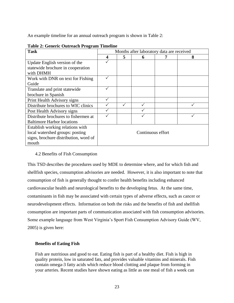An example timeline for an annual outreach program is shown in Table 2:

| o<br><b>Task</b>                      |                   | Months after laboratory data are received |   |  |   |  |  |  |
|---------------------------------------|-------------------|-------------------------------------------|---|--|---|--|--|--|
|                                       | 4                 | 5                                         | 6 |  | 8 |  |  |  |
| Update English version of the         |                   |                                           |   |  |   |  |  |  |
| statewide brochure in cooperation     |                   |                                           |   |  |   |  |  |  |
| with DHMH                             |                   |                                           |   |  |   |  |  |  |
| Work with DNR on text for Fishing     |                   |                                           |   |  |   |  |  |  |
| Guide                                 |                   |                                           |   |  |   |  |  |  |
| Translate and print statewide         |                   |                                           |   |  |   |  |  |  |
| brochure in Spanish                   |                   |                                           |   |  |   |  |  |  |
| Print Health Advisory signs           |                   |                                           |   |  |   |  |  |  |
| Distribute brochures to WIC clinics   |                   |                                           |   |  |   |  |  |  |
| Post Health Advisory signs            |                   |                                           |   |  |   |  |  |  |
| Distribute brochures to fishermen at  |                   |                                           |   |  |   |  |  |  |
| <b>Baltimore Harbor locations</b>     |                   |                                           |   |  |   |  |  |  |
| Establish working relations with      |                   |                                           |   |  |   |  |  |  |
| local watershed groups: posting       | Continuous effort |                                           |   |  |   |  |  |  |
| signs, brochure distribution, word of |                   |                                           |   |  |   |  |  |  |
| mouth                                 |                   |                                           |   |  |   |  |  |  |

# **Table 2: Generic Outreach Program Timeline**

# <span id="page-26-0"></span>4.2 Benefits of Fish Consumption

This TSD describes the procedures used by MDE to determine where, and for which fish and shellfish species, consumption advisories are needed. However, it is also important to note that consumption of fish is generally thought to confer health benefits including enhanced cardiovascular health and neurological benefits to the developing fetus. At the same time, contaminants in fish may be associated with certain types of adverse effects, such as cancer or neurodevelopment effects. Information on both the risks and the benefits of fish and shellfish consumption are important parts of communication associated with fish consumption advisories. Some example language from West Virginia's Sport Fish Consumption Advisory Guide (WV, 2005) is given here:

# **Benefits of Eating Fish**

Fish are nutritious and good to eat. Eating fish is part of a healthy diet. Fish is high in quality protein, low in saturated fats, and provides valuable vitamins and minerals. Fish contain omega-3 fatty acids which reduce blood clotting and plaque from forming in your arteries. Recent studies have shown eating as little as one meal of fish a week can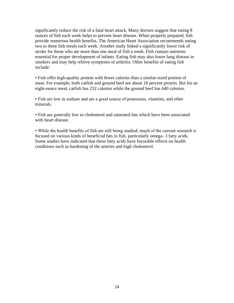significantly reduce the risk of a fatal heart attack. Many doctors suggest that eating 8 ounces of fish each week helps to prevent heart disease. When properly prepared, fish provide numerous health benefits. The American Heart Association recommends eating two to three fish meals each week. Another study linked a significantly lower risk of stroke for those who ate more than one meal of fish a week. Fish contain nutrients essential for proper development of infants. Eating fish may also lower lung disease in smokers and may help relieve symptoms of arthritis. Other benefits of eating fish include:

• Fish offer high-quality protein with fewer calories than a similar-sized portion of meat. For example, both catfish and ground beef are about 18 percent protein. But for an eight-ounce meal, catfish has 232 calories while the ground beef has 640 calories.

• Fish are low in sodium and are a good source of potassium, vitamins, and other minerals.

• Fish are generally low in cholesterol and saturated fats which have been associated with heart disease.

• While the health benefits of fish are still being studied, much of the current research is focused on various kinds of beneficial fats in fish, particularly omega- 3 fatty acids. Some studies have indicated that these fatty acids have favorable effects on health conditions such as hardening of the arteries and high cholesterol.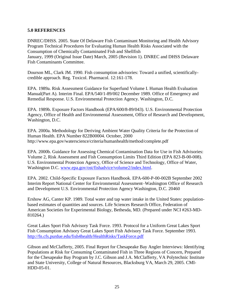# <span id="page-28-0"></span>**5.0 REFERENCES**

DNREC/DHSS. 2005. State Of Delaware Fish Contaminant Monitoring and Health Advisory Program Technical Procedures for Evaluating Human Health Risks Associated with the Consumption of Chemically Contaminated Fish and Shellfish January, 1999 (Original Issue Date) March, 2005 (Revision 1). DNREC and DHSS Delaware Fish Contaminants Committee.

Dourson ML, Clark JM. 1990. Fish consumption advisories: Toward a unified, scientificallycredible approach. Reg. Toxicol. Pharmacol. 12:161-178.

EPA. 1989a. Risk Assessment Guidance for Superfund Volume I. Human Health Evaluation Manual(Part A). Interim Final. EPA/540/1-89/002 December 1989. Office of Emergency and Remedial Response. U.S. Environmental Protection Agency. Washington, D.C.

EPA. 1989b. Exposure Factors Handbook (EPA/600/8-89/043). U.S. Environmental Protection Agency, Office of Health and Environmental Assessment, Office of Research and Development, Washington, D.C.

EPA. 2000a. Methodology for Deriving Ambient Water Quality Criteria for the Protection of Human Health. EPA Number 822B00004. October, 2000 http://www.epa.gov/waterscience/criteria/humanhealth/method/complete.pdf

EPA. 2000b. Guidance for Assessing Chemical Contamination Data for Use in Fish Advisories: Volume 2, Risk Assessment and Fish Consumption Limits Third Edition (EPA 823-B-00-008). U.S. Environmental Protection Agency, Office of Science and Technology, Office of Water, Washington D.C. [www.epa.gov/ost/fishadvice/volume2/index.html.](http://www.epa.gov/ost/fishadvice/volume2/index.html)

EPA. 2002. Child-Specific Exposure Factors Handbook. EPA-600-P-00-002B September 2002 Interim Report National Center for Environmental Assessment–Washington Office of Research and Development U.S. Environmental Protection Agency Washington, D.C. 20460

Ershow AG, Canter KP. 1989. Total water and tap water intake in the United States: populationbased estimates of quantities and sources. Life Sciences Research Office, Federation of American Societies for Experimental Biology, Bethesda, MD. (Prepared under NCI #263-MD-810264.)

Great Lakes Sport Fish Advisory Task Force. 1993. Protocol for a Uniform Great Lakes Sport Fish Consumption Advisory Great Lakes Sport Fish Advisory Task Force. September 1993. <http://fn.cfs.purdue.edu/fish4health/HealthRisks/TaskForce.pdf>

Gibson and McClafferty, 2005. Final Report for Chesapeake Bay Angler Interviews: Identifying Populations at Risk for Consuming Contaminated Fish in Three Regions of Concern, Prepared for the Chesapeake Bay Program by J.C. Gibson and J.A. McClafferty, VA Polytechnic Institute and State University, College of Natural Resources, Blacksburg VA, March 29, 2005. CMI-HDD-05-01.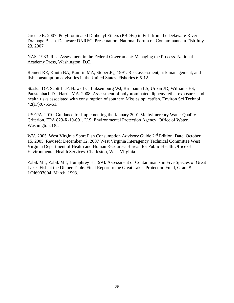Greene R. 2007. Polybrominated Diphenyl Ethers (PBDEs) in Fish from the Delaware River Drainage Basin. Delaware DNREC. Presentation: National Forum on Contaminants in Fish July 23, 2007.

NAS. 1983. Risk Assessment in the Federal Government: Managing the Process. National Academy Press, Washington, D.C.

Reinert RE, Knuth BA, Kamrin MA, Stober JQ. 1991. Risk assessment, risk management, and fish consumption advisories in the United States. Fisheries 6:5-12.

Staskal DF, Scott LLF, Haws LC, Luksemburg WJ, Birnbaum LS, Urban JD, Williams ES, Paustenbach DJ, Harris MA. 2008. Assessment of polybrominated diphenyl ether exposures and health risks associated with consumption of southern Mississippi catfish. Environ Sci Technol 42(17):6755-61.

USEPA. 2010. Guidance for Implementing the January 2001 Methylmercury Water Quality Criterion. EPA 823-R-10-001. U.S. Environmental Protection Agency, Office of Water, Washington, DC.

WV. 2005. West Virginia Sport Fish Consumption Advisory Guide 2<sup>nd</sup> Edition. Date: October 15, 2005. Revised: December 12, 2007 West Virginia Interagency Technical Committee West Virginia Department of Health and Human Resources Bureau for Public Health Office of Environmental Health Services. Charleston, West Virginia.

Zabik ME, Zabik ME, Humphrey H. 1993. Assessment of Contaminants in Five Species of Great Lakes Fish at the Dinner Table. Final Report to the Great Lakes Protection Fund, Grant # LOI6903004. March, 1993.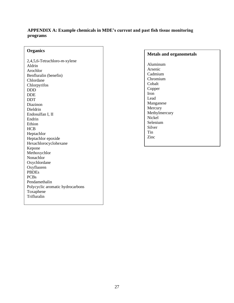# <span id="page-30-0"></span>**APPENDIX A: Example chemicals in MDE's current and past fish tissue monitoring programs**

# **Organics**

2,4,5,6-Tetrachloro-*m*-xylene Aldrin Arochlor Benfluralin (benefin) Chlordane Chlorpyrifos DDD DDE DDT Diazinon Dieldrin Endosulfan I, II Endrin Ethion HCB Heptachlor Heptachlor epoxide Hexachlorocyclohexane Kepone Methoxychlor Nonachlor Oxychlordane Oxyfluoren PBDEs PCBs Pendamethalin Polycyclic aromatic hydrocarbons Toxaphene Trifluralin

#### **Metals and organometals**

Aluminum Arsenic Cadmium Chromium Cobalt Copper Iron Lead Manganese Mercury Methylmercury Nickel Selenium Silver Tin Zinc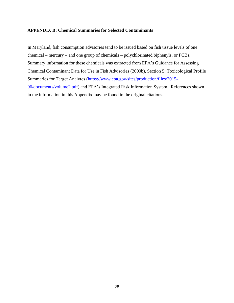# <span id="page-31-0"></span>**APPENDIX B: Chemical Summaries for Selected Contaminants**

In Maryland, fish consumption advisories tend to be issued based on fish tissue levels of one chemical – mercury – and one group of chemicals – polychlorinated biphenyls, or PCBs. Summary information for these chemicals was extracted from EPA's Guidance for Assessing Chemical Contaminant Data for Use in Fish Advisories (2000b), Section 5: Toxicological Profile Summaries for Target Analytes [\(https://www.epa.gov/sites/production/files/2015-](https://www.epa.gov/sites/production/files/2015-06/documents/volume2.pdf) [06/documents/volume2.pdf\)](https://www.epa.gov/sites/production/files/2015-06/documents/volume2.pdf) and EPA's Integrated Risk Information System. References shown in the information in this Appendix may be found in the original citations.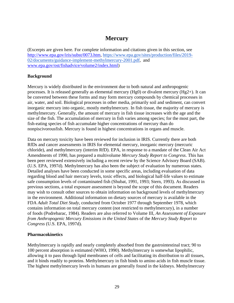# **Mercury**

(Excerpts are given here. For complete information and citations given in this section, see [http://www.epa.gov/iris/subst/0073.htm,](http://www.epa.gov/iris/subst/0073.htm) [https://www.epa.gov/sites/production/files/2019-](https://www.epa.gov/sites/production/files/2019-02/documents/guidance-implement-methylmercury-2001.pdf) [02/documents/guidance-implement-methylmercury-2001.pdf,](https://www.epa.gov/sites/production/files/2019-02/documents/guidance-implement-methylmercury-2001.pdf) and [www.epa.gov/ost/fishadvice/volume2/index.html\)](http://www.epa.gov/ost/fishadvice/volume2/index.html)

# **Background**

Mercury is widely distributed in the environment due to both natural and anthropogenic processes. It is released generally as elemental mercury  $(Hg0)$  or divalent mercury  $(Hg2+)$ . It can be converted between these forms and may form mercury compounds by chemical processes in air, water, and soil. Biological processes in other media, primarily soil and sediment, can convert inorganic mercury into organic, mostly methylmercury. In fish tissue, the majority of mercury is methylmercury. Generally, the amount of mercury in fish tissue increases with the age and the size of the fish. The accumulation of mercury in fish varies among species; for the most part, the fish-eating species of fish accumulate higher concentrations of mercury than do nonpiscivorousfish. Mercury is found in highest concentrations in organs and muscle.

Data on mercury toxicity have been reviewed for inclusion in IRIS. Currently there are both RfDs and cancer assessments in IRIS for elemental mercury, inorganic mercury (mercuric chloride), and methylmercury (interim RfD). EPA, in response to a mandate of the Clean Air Act Amendments of 1990, has prepared a multivolume *Mercury Study Report to Congress*. This has been peer reviewed extensively including a recent review by the Science Advisory Board (SAB). (U.S. EPA, 1997d). Methylmercury has also been the subject of evaluation by numerous states. Detailed analyses have been conducted in some specific areas, including evaluation of data regarding blood and hair mercury levels, toxic effects, and biological half-life values to estimate safe consumption levels of contaminated fish (Shubat, 1991, 1993; Stern, 1993). As discussed in previous sections, a total exposure assessment is beyond the scope of this document. Readers may wish to consult other sources to obtain information on background levels of methylmercury in the environment. Additional information on dietary sources of mercury is available in the FDA *Adult Total Diet Study*, conducted from October 1977 through September 1978, which contains information on total mercury content (not restricted to methylmercury), in a number of foods (Podrebarac, 1984). Readers are also referred to Volume III, *An Assessment of Exposure from Anthropogenic Mercury Emissions in the United States* of the *Mercury Study Report to Congress* (U.S. EPA, 1997d).

# **Pharmacokinetics**

Methylmercury is rapidly and nearly completely absorbed from the gastrointestinal tract; 90 to 100 percent absorption is estimated (WHO, 1990). Methylmercury is somewhat lipophilic, allowing it to pass through lipid membranes of cells and facilitating its distribution to all tissues, and it binds readily to proteins. Methylmercury in fish binds to amino acids in fish muscle tissue. The highest methylmercury levels in humans are generally found in the kidneys. Methylmercury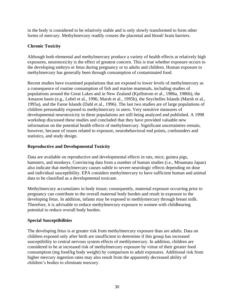in the body is considered to be relatively stable and is only slowly transformed to form other forms of mercury. Methylmercury readily crosses the placental and blood/ brain barriers.

# **Chronic Toxicity**

Although both elemental and methylmercury produce a variety of health effects at relatively high exposures, neurotoxicity is the effect of greatest concern. This is true whether exposure occurs to the developing embryo or fetus during pregnancy or to adults and children. Human exposure to methylmercury has generally been through consumption of contaminated food.

Recent studies have examined populations that are exposed to lower levels of methylmercury as a consequence of routine consumption of fish and marine mammals, including studies of populations around the Great Lakes and in New Zealand (Kjellstrom et al., 1986a, 1986b), the Amazon basin (e.g., Lebel et al., 1996; Marsh et al., 1995b), the Seychelles Islands (Marsh et al., 1995a), and the Faroe Islands (Dahl et al., 1996). The last two studies are of large populations of children presumably exposed to methylmercury in utero. Very sensitive measures of developmental neurotoxicity in these populations are still being analyzed and published. A 1998 workshop discussed these studies and concluded that they have provided valuable new information on the potential health effects of methylmercury. Significant uncertainties remain, however, because of issues related to exposure, neurobehavioral end points, confounders and statistics, and study design.

# **Reproductive and Developmental Toxicity**

Data are available on reproductive and developmental effects in rats, mice, guinea pigs, hamsters, and monkeys. Convincing data from a number of human studies (i.e., Minamata Japan) also indicate that methylmercury causes subtle to severe neurologic effects depending on dose and individual susceptibility. EPA considers methylmercury to have sufficient human and animal data to be classified as a developmental toxicant.

Methylmercury accumulates in body tissue; consequently, maternal exposure occurring prior to pregnancy can contribute to the overall maternal body burden and result in exposure to the developing fetus. In addition, infants may be exposed to methlymercury through breast milk. Therefore, it is advisable to reduce methylmercury exposure to women with childbearing potential to reduce overall body burden.

# **Special Susceptibilities**

The developing fetus is at greater risk from methylmercury exposure than are adults. Data on children exposed only after birth are insufficient to determine if this group has increased susceptibility to central nervous system effects of methlymercury. In addition, children are considered to be at increased risk of methylmercury exposure by virtue of their greater food consumption (mg food/kg body weight) by comparison to adult exposures. Additional risk from higher mercury ingestion rates may also result from the apparently decreased ability of children's bodies to eliminate mercury.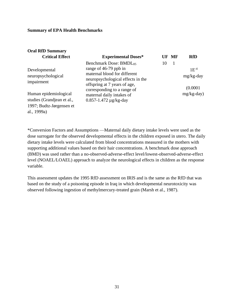al., 1999a)

| <b>Oral RfD Summary</b>                                                         |                                                                                                                                                                  |    |       |                           |
|---------------------------------------------------------------------------------|------------------------------------------------------------------------------------------------------------------------------------------------------------------|----|-------|---------------------------|
| <b>Critical Effect</b>                                                          | <b>Experimental Doses*</b>                                                                                                                                       |    | UF MF | <b>RfD</b>                |
| Developmental<br>neuropsychological<br>impairment                               | Benchmark Dose: BMDL <sub>05</sub><br>range of 46-79 ppb in<br>maternal blood for different<br>neuropsychological effects in the<br>offspring at 7 years of age, | 10 | -1    | $1E^{-4}$<br>$mg/kg$ -day |
| Human epidemiological<br>studies (Grandjean et al.,<br>1997; Budtz-Jørgensen et | corresponding to a range of<br>maternal daily intakes of<br>$0.857 - 1.472 \mu g/kg$ -day                                                                        |    |       | (0.0001)<br>$mg/kg$ -day) |

\*Conversion Factors and Assumptions —Maternal daily dietary intake levels were used as the dose surrogate for the observed developmental effects in the children exposed in utero. The daily dietary intake levels were calculated from blood concentrations measured in the mothers with supporting additional values based on their hair concentrations. A benchmark dose approach (BMD) was used rather than a no-observed-adverse-effect level/lowest-observed-adverse-effect level (NOAEL/LOAEL) approach to analyze the neurological effects in children as the response variable.

This assessment updates the 1995 RfD assessment on IRIS and is the same as the RfD that was based on the study of a poisoning episode in Iraq in which developmental neurotoxicity was observed following ingestion of methylmercury-treated grain (Marsh et al., 1987).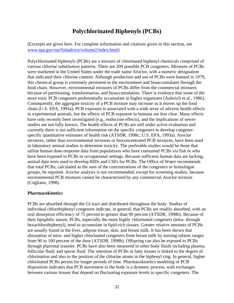# **Polychlorinated Biphenyls (PCBs)**

(Excerpts are given here. For complete information and citations given in this section, see [www.epa.gov/ost/fishadvice/volume2/index.html\)](http://www.epa.gov/ost/fishadvice/volume2/index.html)

Polychlorinated biphenyls (PCBs) are a mixture of chlorinated biphenyl chemicals comprised of various chlorine substitution patterns. There are 209 possible PCB congeners. Mixtures of PCBs were marketed in the United States under the trade name Aroclor, with a numeric designation that indicated their chlorine content. Although production and use of PCBs were banned in 1979, this chemical group is extremely persistent in the environment and bioaccumulates through the food chain. However, environmental mixtures of PCBs differ from the commercial mixtures because of partitioning, transformation, and bioaccumulation. There is evidence that some of the more toxic PCB congeners preferentially accumulate in higher organisms (Aulerich et al., 1986). Consequently, the aggregate toxicity of a PCB mixture may increase as it moves up the food chain (U.S. EPA, 1993a). PCB exposure is associated with a wide array of adverse health effects in experimental animals, but the effects of PCB exposure in humans are less clear. Many effects have only recently been investigated (e.g., endocrine effects), and the implications of newer studies are not fully known. The health effects of PCBs are still under active evaluation and currently there is not sufficient information on the specific congeners to develop congenerspecific quantitative estimates of health risk (ATSDR, 1998c; U.S. EPA, 1993a). Aroclor mixtures, rather than environmental mixtures or bioconcentrated PCB mixtures, have been used in laboratory animal studies to determine toxicity. The preferable studies would be those that utilize human dose-response data from populations who have consumed PCBs via fish or who have been exposed to PCBs in occupational settings. Because sufficient human data are lacking, animal data were used to develop RfDs and CSFs for PCBs. The Office of Water recommends that total PCBs, calculated as the sum of the concentrations of the congeners or homologue groups, be reported. Aroclor analysis is not recommended, except for screening studies, because environmental PCB mixtures cannot be characterized by any commercial Aroclor mixture (Cogliano, 1998).

# **Pharmacokinetics**

PCBs are absorbed through the GI tract and distributed throughout the body. Studies of individual chlorobiphenyl congeners indicate, in general, that PCBs are readily absorbed, with an oral absorption efficiency of 75 percent to greater than 90 percent (ATSDR, 1998b). Because of their lipophilic nature, PCBs, especially the more highly chlorinated congeners (tetra- through hexachlorobiphenyl), tend to accumulate in lipid-rich tissues. Greater relative amounts of PCBs are usually found in the liver, adipose tissue, skin, and breast milk. It has been shown that absorption of tetra- and higher chlorinated congeners from breast milk by nursing infants ranges from 90 to 100 percent of the dose (ATSDR, 1998b). Offspring can also be exposed to PCBs through placental transfer. PCBs have also been measured in other body fluids including plasma, follicular fluid, and sperm fluid. The retention of PCBs in fatty tissues is linked to the degree of chlorination and also to the position of the chlorine atoms in the biphenyl ring. In general, higher chlorinated PCBs persist for longer periods of time. Pharmacokinetics modeling of PCB disposition indicates that PCB movement in the body is a dynamic process, with exchanges between various tissues that depend on fluctuating exposure levels to specific congeners. The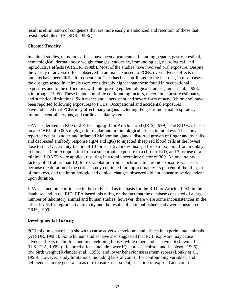result is elimination of congeners that are more easily metabolized and retention of those that resist metabolism (ATSDR, 1998c).

# **Chronic Toxicity**

In animal studies, numerous effects have been documented, including hepatic, gastrointestinal, hematological, dermal, body weight changes, endocrine, immunological, neurological, and reproductive effects (ATSDR, 1998b). Most of the studies have involved oral exposure. Despite the variety of adverse effects observed in animals exposed to PCBs, overt adverse effects in humans have been difficult to document. This has been attributed to the fact that, in most cases, the dosages tested in animals were considerably higher than those found in occupational exposures and to the difficulties with interpreting epidemiological studies (James et al., 1993; Kimbrough, 1995). These include multiple confounding factors, uncertain exposure estimates, and statistical limitations. Skin rashes and a persistent and severe form of acne (chloracne) have been reported following exposures to PCBs. Occupational and accidental exposures have indicated that PCBs may affect many organs including the gastrointestinal, respiratory, immune, central nervous, and cardiovascular systems.

EPA has derived an RfD of  $2 \times 10^{-5}$  mg/kg-d for Aroclor 1254 (IRIS, 1999). The RfD was based on a LOAEL of 0.005 mg/kg-d for ocular and immunological effects in monkeys. The study reported ocular exudate and inflamed Meibomian glands, distorted growth of finger and toenails, and decreased antibody response (IgM and IgG) to injected sheep red blood cells at the lowest dose tested. Uncertainty factors of 10 for sensitive individuals, 3 for extrapolation from monkeys to humans, 3 for extrapolation from a subchronic exposure to a chronic RfD, and 3 for use of a minimal LOAEL were applied, resulting in a total uncertainty factor of 300. An uncertainty factory of 3 (rather than 10) for extrapolation from subchronic to chronic exposure was used, because the duration of the critical study continued for approximately 25 percent of the lifespan of monkeys, and the immunologic and clinical changes observed did not appear to be dependent upon duration.

EPA has medium confidence in the study used as the basis for the RfD for Aroclor 1254, in the database, and in the RfD. EPA based this rating on the fact that the database consisted of a large number of laboratory animal and human studies; however, there were some inconsistencies in the effect levels for reproductive toxicity and the results of an unpublished study were considered (IRIS, 1999).

# **Developmental Toxicity**

PCB mixtures have been shown to cause adverse developmental effects in experimental animals (ATSDR, 1998c). Some human studies have also suggested that PCB exposure may cause adverse effects in children and in developing fetuses while other studies have not shown effects (U.S. EPA, 1999a). Reported effects include lower IQ scores (Jacobson and Jacobson, 1996), low birth weight (Rylander et al., 1998), and lower behavior assessment scores (Lonky et al., 1996). However, study limitations, including lack of control for confounding variables, and deficiencies in the general areas of exposure assessment, selection of exposed and control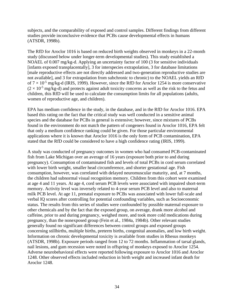subjects, and the comparability of exposed and control samples. Different findings from different studies provide inconclusive evidence that PCBs cause developmental effects in humans (ATSDR, 1998b).

The RfD for Aroclor 1016 is based on reduced birth weights observed in monkeys in a 22-month study (discussed below under longer-term developmental studies). This study established a NOAEL of 0.007 mg/kg-d. Applying an uncertainty factor of 100 (3 for sensitive individuals [infants exposed transplacentally], 3 for interspecies extrapolation, 3 for database limitations [male reproductive effects are not directly addressed and two-generation reproductive studies are not available], and 3 for extrapolation from subchronic to chronic) to the NOAEL yields an RfD of  $7 \times 10^{-5}$  mg/kg-d (IRIS, 1999). However, since the RfD for Aroclor 1254 is more conservative  $(2 \times 10^{-5}$  mg/kg-d) and protects against adult toxicity concerns as well as the risk to the fetus and children, this RfD will be used to calculate the consumption limits for all populations (adults, women of reproductive age, and children).

EPA has medium confidence in the study, in the database, and in the RfD for Aroclor 1016. EPA based this rating on the fact that the critical study was well conducted in a sensitive animal species and the database for PCBs in general is extensive; however, since mixtures of PCBs found in the environment do not match the pattern of congeners found in Aroclor 1016, EPA felt that only a medium confidence ranking could be given. For those particular environmental applications where it is known that Aroclor 1016 is the only form of PCB contamination, EPA stated that the RfD could be considered to have a high confidence rating (IRIS, 1999).

A study was conducted of pregnancy outcomes in women who had consumed PCB-contaminated fish from Lake Michigan over an average of 16 years (exposure both prior to and during pregnancy). Consumption of contaminated fish and levels of total PCBs in cord serum correlated with lower birth weight, smaller head circumference, and shorter gestational age. Fish consumption, however, was correlated with delayed neuromuscular maturity, and, at 7 months, the children had subnormal visual recognition memory. Children from this cohort were examined at age 4 and 11 years. At age 4, cord serum PCB levels were associated with impaired short-term memory. Activity level was inversely related to 4-year serum PCB level and also to maternal milk PCB level. At age 11, prenatal exposure to PCBs was associated with lower full-scale and verbal IQ scores after controlling for potential confounding variables, such as Socioeconomic status. The results from this series of studies were confounded by possible maternal exposure to other chemicals and by the fact that the exposed group, on average, drank more alcohol and caffeine, prior to and during pregnancy, weighed more, and took more cold medications during pregnancy, than the nonexposed group (Fein et al., 1984a, 1984b). Other relevant studies generally found no significant differences between control groups and exposed groups concerning stillbirths, multiple births, preterm births, congenital anomalies, and low birth weight. Information on chronic developmental toxicity is available from studies in Rhesus monkeys (ATSDR, 1998b). Exposure periods ranged from 12 to 72 months. Inflammation of tarsal glands, nail lesions, and gum recession were noted in offspring of monkeys exposed to Aroclor 1254. Adverse neurobehavioral effects were reported following exposure to Aroclor 1016 and Aroclor 1248. Other observed effects included reduction in birth weight and increased infant death for Aroclor 1248.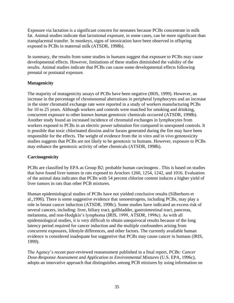Exposure via lactation is a significant concern for neonates because PCBs concentrate in milk fat. Animal studies indicate that lactational exposure, in some cases, can be more significant than transplacental transfer. In monkeys, signs of intoxication have been observed in offspring exposed to PCBs in maternal milk (ATSDR, 1998b).

In summary, the results from some studies in humans suggest that exposure to PCBs may cause developmental effects. However, limitations of these studies diminished the validity of the results. Animal studies indicate that PCBs can cause some developmental effects following prenatal or postnatal exposure.

# **Mutagenicity**

The majority of mutagenicity assays of PCBs have been negative (IRIS, 1999). However, an increase in the percentage of chromosomal aberrations in peripheral lymphocytes and an increase in the sister chromatid exchange rate were reported in a study of workers manufacturing PCBs for 10 to 25 years. Although workers and controls were matched for smoking and drinking, concurrent exposure to other known human genotoxic chemicals occurred (ATSDR, 1998b). Another study found an increased incidence of chromatid exchanges in lymphocytes from workers exposed to PCBs in an electric power substation fire compared to unexposed controls. It is possible that toxic chlorinated dioxins and/or furans generated during the fire may have been responsible for the effects. The weight of evidence from the in vitro and in vivo genotoxicity studies suggests that PCBs are not likely to be genotoxic to humans. However, exposure to PCBs may enhance the genotoxic activity of other chemicals (ATSDR, 1998b).

# **Carcinogenicity**

PCBs are classified by EPA as Group B2; probable human carcinogens . This is based on studies that have found liver tumors in rats exposed to Aroclors 1260, 1254, 1242, and 1016. Evaluation of the animal data indicates that PCBs with 54 percent chlorine content induces a higher yield of liver tumors in rats than other PCB mixtures.

Human epidemiological studies of PCBs have not yielded conclusive results (Silberhorn et al.,1990). There is some suggestive evidence that xenoestrogens, including PCBs, may play a role in breast cancer induction (ATSDR, 1998c). Some studies have indicated an excess risk of several cancers, including: liver, biliary tract, gallbladder, gastrointestinal tract, pancreas, melanoma, and non-Hodgkin's lymphoma (IRIS, 1999, ATSDR, 1998c). As with all epidemiological studies, it is very difficult to obtain unequivocal results because of the long latency period required for cancer induction and the multiple confounders arising from concurrent exposures, lifestyle differences, and other factors. The currently available human evidence is considered inadequate but suggestive that PCBs may cause cancer in humans (IRIS, 1999).

The Agency's recent peer-reviewed reassessment published in a final report, *PCBs: Cancer Dose-Response Assessment and Application to Environmental Mixtures* (U.S. EPA, 1996c), adopts an innovative approach that distinguishes among PCB mixtures by using information on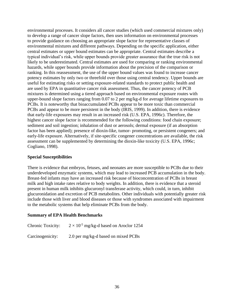environmental processes. It considers all cancer studies (which used commercial mixtures only) to develop a range of cancer slope factors, then uses information on environmental processes to provide guidance on choosing an appropriate slope factor for representative classes of environmental mixtures and different pathways. Depending on the specific application, either central estimates or upper bound estimates can be appropriate. Central estimates describe a typical individual's risk, while upper bounds provide greater assurance that the true risk is not likely to be underestimated. Central estimates are used for comparing or ranking environmental hazards, while upper bounds provide information about the precision of the comparison or ranking. In this reassessment, the use of the upper bound values was found to increase cancer potency estimates by only two or threefold over those using central tendency. Upper bounds are useful for estimating risks or setting exposure-related standards to protect public health and are used by EPA in quantitative cancer risk assessment. Thus, the cancer potency of PCB mixtures is determined using a tiered approach based on environmental exposure routes with upper-bound slope factors ranging from 0.07 to 2 per mg/kg-d for average lifetime exposures to PCBs. It is noteworthy that bioaccumulated PCBs appear to be more toxic than commercial PCBs and appear to be more persistent in the body (IRIS, 1999). In addition, there is evidence that early-life exposures may result in an increased risk (U.S. EPA, 1996c). Therefore, the highest cancer slope factor is recommended for the following conditions: food chain exposure; sediment and soil ingestion; inhalation of dust or aerosols; dermal exposure (if an absorption factor has been applied); presence of dioxin-like, tumor- promoting, or persistent congeners; and early-life exposure. Alternatively, if site-specific congener concentrations are available, the risk assessment can be supplemented by determining the dioxin-like toxicity (U.S. EPA, 1996c; Cogliano, 1998).

# **Special Susceptibilities**

There is evidence that embryos, fetuses, and neonates are more susceptible to PCBs due to their underdeveloped enzymatic systems, which may lead to increased PCB accumulation in the body. Breast-fed infants may have an increased risk because of bioconcentration of PCBs in breast milk and high intake rates relative to body weights. In addition, there is evidence that a steroid present in human milk inhibits glucuronyl transferase activity, which could, in turn, inhibit glucuronidation and excretion of PCB metabolites. Other individuals with potentially greater risk include those with liver and blood diseases or those with syndromes associated with impairment to the metabolic systems that help eliminate PCBs from the body.

# **Summary of EPA Health Benchmarks**

Chronic Toxicity:  $2 \times 10^{-5}$  mg/kg-d based on Aroclor 1254

Carcinogenicity: 2.0 per mg/kg-d based on mixed PCBs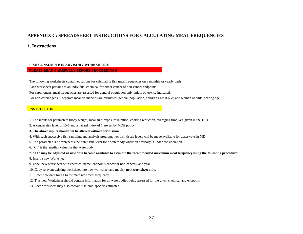## **APPENDIX C: SPREADSHEET INSTRUCTIONS FOR CALCULATING MEAL FREQUENCIES**

#### **1. Instructions**

#### **FISH CONSUMPTION ADVISORY WORKSHEETS**

#### **PLEASE READ CAREFULLY BEFORE PROCEEDING!!**

The following worksheets contain equations for calculating fish meal frequencies on a monthly or yearly basis.

Each worksheet pertains to an individual chemical for either cancer of non-cancer endpoints

For carcinogens, meal frequencies are assessed for general population only unless otherwise indicated.

<span id="page-40-0"></span>For non-carcinogens, 3 separate meal frequencies are estimated: general population, children ages 0-6 yr, and women of child-bearing age

#### **INSTRUCTIONS**

- 1. The inputs for parameters (body weight, meal size, exposure duration, cooking reduction, averaging time) are given in the TSD.
- 2. A cancer risk level of 10-5 and a hazard index of 1 are set by MDE policy.

#### **3. The above inputs should not be altered without permission.**

- 4. With each successive fish sampling and analysis program, new fish tissue levels will be made available for waterways in MD.
- 5. The parameter "Cf" represents the fish tissue level for a waterbody where an advisory is under consideration.
- 6. "Cf" is the median value for that waterbody.

**7. "Cf" may be adjusted as new data become available to estimate the recommended maximum meal frequency using the following procedure:**

- 8. Insert a new Worksheet
- 9. Label new worksheet with chemical name, endpoint (cancer or non-cancer), and year.
- 10. Copy relevant existing worksheet into new worksheet and modify **new worksheet only**.
- 11. Enter new data for Cf to estimate new meal frequency.
- 12. This new Worksheet should contain information for all waterbodies being assessed for the given chemical and endpoint.
- 13. Each worksheet may also contain fish/crab-specific estimates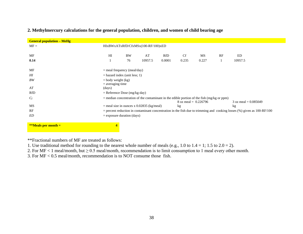| <b>General population – MeHg</b> |                                             |    |         |        |                                |                                                                                              |    |                                                                                                                           |  |  |  |
|----------------------------------|---------------------------------------------|----|---------|--------|--------------------------------|----------------------------------------------------------------------------------------------|----|---------------------------------------------------------------------------------------------------------------------------|--|--|--|
| $MF =$                           | HIxBWxATxRfD/CfxMSx(100-RF/100)xED          |    |         |        |                                |                                                                                              |    |                                                                                                                           |  |  |  |
|                                  |                                             |    |         |        |                                |                                                                                              |    |                                                                                                                           |  |  |  |
| MF                               | HI                                          | BW | AT      | RfD    | <b>Cf</b>                      | MS                                                                                           | RF | ED                                                                                                                        |  |  |  |
| 0.14                             |                                             | 76 | 10957.5 | 0.0001 | 0.235                          | 0.227                                                                                        |    | 10957.5                                                                                                                   |  |  |  |
|                                  |                                             |    |         |        |                                |                                                                                              |    |                                                                                                                           |  |  |  |
| MF                               | $=$ meal frequency (meal/day)               |    |         |        |                                |                                                                                              |    |                                                                                                                           |  |  |  |
| HI                               | $=$ hazard index (unit less; 1)             |    |         |        |                                |                                                                                              |    |                                                                                                                           |  |  |  |
| BW                               | $=$ body weight (kg)                        |    |         |        |                                |                                                                                              |    |                                                                                                                           |  |  |  |
|                                  | $=$ averaging time                          |    |         |        |                                |                                                                                              |    |                                                                                                                           |  |  |  |
| AT                               | (days)                                      |    |         |        |                                |                                                                                              |    |                                                                                                                           |  |  |  |
| RfD                              | $=$ Reference Dose (mg/kg-day)              |    |         |        |                                |                                                                                              |    |                                                                                                                           |  |  |  |
| $C_f$                            |                                             |    |         |        |                                | $=$ median concentration of the contaminant in the edible portion of the fish (mg/kg or ppm) |    |                                                                                                                           |  |  |  |
|                                  |                                             |    |         |        | $8 \text{ oz}$ meal = 0.226796 |                                                                                              |    | 3 oz meal $= 0.085049$                                                                                                    |  |  |  |
| MS                               | $=$ meal size in ounces x 0.02835 (kg/meal) |    |         |        | kg                             |                                                                                              |    | kg                                                                                                                        |  |  |  |
| RF                               |                                             |    |         |        |                                |                                                                                              |    | $=$ percent reduction in contaminant concentration in the fish due to trimming and cooking losses (%) given as 100-RF/100 |  |  |  |
| ED                               | $=$ exposure duration (days)                |    |         |        |                                |                                                                                              |    |                                                                                                                           |  |  |  |
|                                  |                                             |    |         |        |                                |                                                                                              |    |                                                                                                                           |  |  |  |

# **2. Methylmercury calculations for the general population, children, and women of child bearing age**

**\*\*Meals per month = 4**

\*\*Fractional numbers of MF are treated as follows:

1. Use traditional method for rounding to the nearest whole number of meals (e.g., 1.0 to 1.4 = 1; 1.5 to 2.0 = 2).

2. For  $MF < 1$  meal/month, but  $\ge 0.5$  meal/month, recommendation is to limit consumption to 1 meal every other month.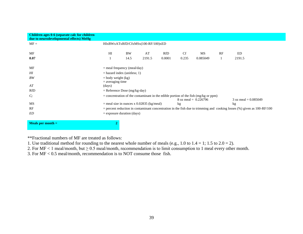| Children ages 0-6 (separate calc for children<br>due to neurodevelopmental effects) MeHg |                                                            |      |        |        |       |                                                                                                                         |   |                                                                                                                             |  |  |
|------------------------------------------------------------------------------------------|------------------------------------------------------------|------|--------|--------|-------|-------------------------------------------------------------------------------------------------------------------------|---|-----------------------------------------------------------------------------------------------------------------------------|--|--|
| $MF =$                                                                                   | HIxBWxATxRfD/CfxMSx(100-RF/100)xED                         |      |        |        |       |                                                                                                                         |   |                                                                                                                             |  |  |
| MF                                                                                       | H<br>AT<br>RF<br><b>BW</b><br><b>Cf</b><br>MS<br>ED<br>RfD |      |        |        |       |                                                                                                                         |   |                                                                                                                             |  |  |
| 0.07                                                                                     |                                                            | 14.5 | 2191.5 | 0.0001 | 0.235 | 0.085049                                                                                                                | 1 | 2191.5                                                                                                                      |  |  |
| MF                                                                                       | $=$ meal frequency (meal/day)                              |      |        |        |       |                                                                                                                         |   |                                                                                                                             |  |  |
| H                                                                                        | $=$ hazard index (unitless; 1)                             |      |        |        |       |                                                                                                                         |   |                                                                                                                             |  |  |
| BW                                                                                       | $=$ body weight (kg)                                       |      |        |        |       |                                                                                                                         |   |                                                                                                                             |  |  |
| AT                                                                                       | $=$ averaging time<br>(days)                               |      |        |        |       |                                                                                                                         |   |                                                                                                                             |  |  |
| RfD                                                                                      | $=$ Reference Dose (mg/kg-day)                             |      |        |        |       |                                                                                                                         |   |                                                                                                                             |  |  |
| $C_f$                                                                                    |                                                            |      |        |        |       | $=$ concentration of the contaminant in the edible portion of the fish (mg/kg or ppm)<br>$8 \text{ oz}$ meal = 0.226796 |   | 3 oz meal $= 0.085049$                                                                                                      |  |  |
| MS                                                                                       | $=$ meal size in ounces x 0.02835 (kg/meal)                |      |        |        | kg    |                                                                                                                         |   | kg                                                                                                                          |  |  |
| RF                                                                                       |                                                            |      |        |        |       |                                                                                                                         |   | $=$ percent reduction in contaminant concentration in the fish due to trimming and cooking losses $%$ ) given as 100-RF/100 |  |  |
| <b>ED</b>                                                                                | $=$ exposure duration (days)                               |      |        |        |       |                                                                                                                         |   |                                                                                                                             |  |  |
| Meals per month $=$                                                                      | $\mathbf{2}$                                               |      |        |        |       |                                                                                                                         |   |                                                                                                                             |  |  |

\*\*Fractional numbers of MF are treated as follows:

1. Use traditional method for rounding to the nearest whole number of meals (e.g., 1.0 to  $1.4 = 1$ ; 1.5 to  $2.0 = 2$ ).

2. For  $MF < 1$  meal/month, but  $\ge 0.5$  meal/month, recommendation is to limit consumption to 1 meal every other month.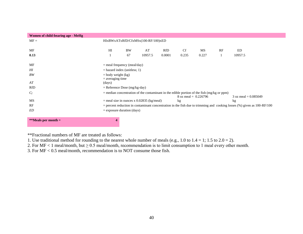| Women of child-bearing age - MeHg |                                                                                              |    |         |        |                                |       |  |                                                                                                                             |  |  |  |
|-----------------------------------|----------------------------------------------------------------------------------------------|----|---------|--------|--------------------------------|-------|--|-----------------------------------------------------------------------------------------------------------------------------|--|--|--|
| $MF =$                            | HIxBWxATxRfD/CfxMSx(100-RF/100)xED                                                           |    |         |        |                                |       |  |                                                                                                                             |  |  |  |
|                                   |                                                                                              |    |         |        |                                |       |  |                                                                                                                             |  |  |  |
| MF                                | Cf<br>H I<br><b>BW</b><br>AT<br>MS<br>RF<br>RfD<br>ED                                        |    |         |        |                                |       |  |                                                                                                                             |  |  |  |
| 0.13                              |                                                                                              | 67 | 10957.5 | 0.0001 | 0.235                          | 0.227 |  | 10957.5                                                                                                                     |  |  |  |
|                                   |                                                                                              |    |         |        |                                |       |  |                                                                                                                             |  |  |  |
| MF                                | $=$ meal frequency (meal/day)                                                                |    |         |        |                                |       |  |                                                                                                                             |  |  |  |
| H                                 | $=$ hazard index (unitless; 1)                                                               |    |         |        |                                |       |  |                                                                                                                             |  |  |  |
| BW                                | $=$ body weight $(kg)$                                                                       |    |         |        |                                |       |  |                                                                                                                             |  |  |  |
|                                   | $=$ averaging time                                                                           |    |         |        |                                |       |  |                                                                                                                             |  |  |  |
| AT                                | (days)                                                                                       |    |         |        |                                |       |  |                                                                                                                             |  |  |  |
| <b>RfD</b>                        | $=$ Reference Dose (mg/kg-day)                                                               |    |         |        |                                |       |  |                                                                                                                             |  |  |  |
| $C_f$                             | $=$ median concentration of the contaminant in the edible portion of the fish (mg/kg or ppm) |    |         |        |                                |       |  |                                                                                                                             |  |  |  |
|                                   |                                                                                              |    |         |        | $8 \text{ oz}$ meal = 0.226796 |       |  | 3 oz meal $= 0.085049$                                                                                                      |  |  |  |
| MS                                | $=$ meal size in ounces x 0.02835 (kg/meal)                                                  |    |         |        | kg                             |       |  | kg                                                                                                                          |  |  |  |
| RF                                |                                                                                              |    |         |        |                                |       |  | $=$ percent reduction in contaminant concentration in the fish due to trimming and cooking losses $%$ ) given as 100-RF/100 |  |  |  |
| <b>ED</b>                         | $=$ exposure duration (days)                                                                 |    |         |        |                                |       |  |                                                                                                                             |  |  |  |
|                                   |                                                                                              |    |         |        |                                |       |  |                                                                                                                             |  |  |  |
| **Meals per month $=$             |                                                                                              |    |         |        |                                |       |  |                                                                                                                             |  |  |  |

\*\*Fractional numbers of MF are treated as follows:

1. Use traditional method for rounding to the nearest whole number of meals (e.g., 1.0 to  $1.4 = 1$ ; 1.5 to  $2.0 = 2$ ).

2. For  $MF < 1$  meal/month, but  $\ge 0.5$  meal/month, recommendation is to limit consumption to 1 meal every other month.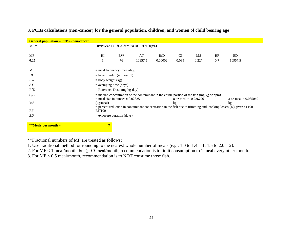| <b>General population – PCBs - non-cancer</b> |                                    |           |                                                                                              |         |                        |       |     |                                                                                                                       |  |  |
|-----------------------------------------------|------------------------------------|-----------|----------------------------------------------------------------------------------------------|---------|------------------------|-------|-----|-----------------------------------------------------------------------------------------------------------------------|--|--|
| $MF =$                                        | HIxBWxATxRfD/CfxMSx(100-RF/100)xED |           |                                                                                              |         |                        |       |     |                                                                                                                       |  |  |
|                                               |                                    |           |                                                                                              |         |                        |       |     |                                                                                                                       |  |  |
| MF                                            | HI                                 | <b>BW</b> | AT                                                                                           | RfD     | <b>Cf</b>              | MS    | RF  | ED                                                                                                                    |  |  |
| 0.25                                          |                                    | 76        | 10957.5                                                                                      | 0.00002 | 0.039                  | 0.227 | 0.7 | 10957.5                                                                                                               |  |  |
|                                               |                                    |           |                                                                                              |         |                        |       |     |                                                                                                                       |  |  |
| MF                                            | $=$ meal frequency (meal/day)      |           |                                                                                              |         |                        |       |     |                                                                                                                       |  |  |
| $H\!I$                                        | $=$ hazard index (unitless; 1)     |           |                                                                                              |         |                        |       |     |                                                                                                                       |  |  |
| BW                                            | $=$ body weight (kg)               |           |                                                                                              |         |                        |       |     |                                                                                                                       |  |  |
| AT                                            | $=$ averaging time (days)          |           |                                                                                              |         |                        |       |     |                                                                                                                       |  |  |
| <b>RfD</b>                                    | $=$ Reference Dose (mg/kg-day)     |           |                                                                                              |         |                        |       |     |                                                                                                                       |  |  |
| $C_{fish}$                                    |                                    |           | $=$ median concentration of the contaminant in the edible portion of the fish (mg/kg or ppm) |         |                        |       |     |                                                                                                                       |  |  |
|                                               | $=$ meal size in ounces x 0.02835  |           |                                                                                              |         | 8 oz meal = $0.226796$ |       |     | 3 oz meal = $0.085049$                                                                                                |  |  |
| MS                                            | (kg/meal)                          |           |                                                                                              |         | kg                     |       |     | $k$ g                                                                                                                 |  |  |
| RF                                            | RF/100                             |           |                                                                                              |         |                        |       |     | $=$ percent reduction in contaminant concentration in the fish due to trimming and cooking losses $(*)$ given as 100- |  |  |
|                                               | $=$ exposure duration (days)       |           |                                                                                              |         |                        |       |     |                                                                                                                       |  |  |
| ED                                            |                                    |           |                                                                                              |         |                        |       |     |                                                                                                                       |  |  |
| **Meals per month $=$                         | $7\phantom{.}$                     |           |                                                                                              |         |                        |       |     |                                                                                                                       |  |  |

# **3. PCBs calculations (non-cancer) for the general population, children, and women of child bearing age**

\*\*Fractional numbers of MF are treated as follows:

- 1. Use traditional method for rounding to the nearest whole number of meals (e.g., 1.0 to 1.4 = 1; 1.5 to 2.0 = 2).
- 2. For  $MF < 1$  meal/month, but  $\ge 0.5$  meal/month, recommendation is to limit consumption to 1 meal every other month.
- 3. For MF < 0.5 meal/month, recommendation is to NOT consume those fish.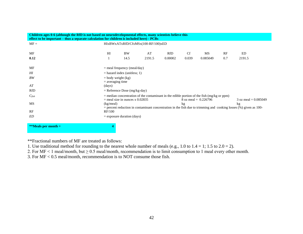| Children ages 0-6 (although the RfD is not based on neurodevelopmental effects, many scientists believe this<br>effect to be important – thus a separate calculation for children is included here) - PCBs |                                                                                                                                                                                       |                              |        |         |       |          |     |        |  |  |
|------------------------------------------------------------------------------------------------------------------------------------------------------------------------------------------------------------|---------------------------------------------------------------------------------------------------------------------------------------------------------------------------------------|------------------------------|--------|---------|-------|----------|-----|--------|--|--|
| $MF =$                                                                                                                                                                                                     | HIxBWxATxRfD/CfxMSx(100-RF/100)xED                                                                                                                                                    |                              |        |         |       |          |     |        |  |  |
| MF                                                                                                                                                                                                         | <b>BW</b><br>AT<br><b>Cf</b><br>HI<br>RfD<br>MS<br>RF<br>ED                                                                                                                           |                              |        |         |       |          |     |        |  |  |
| 0.12                                                                                                                                                                                                       |                                                                                                                                                                                       | 14.5                         | 2191.5 | 0.00002 | 0.039 | 0.085049 | 0.7 | 2191.5 |  |  |
| MF                                                                                                                                                                                                         | $=$ meal frequency (meal/day)                                                                                                                                                         |                              |        |         |       |          |     |        |  |  |
| $H\!I$                                                                                                                                                                                                     | $=$ hazard index (unitless; 1)                                                                                                                                                        |                              |        |         |       |          |     |        |  |  |
| BW                                                                                                                                                                                                         | $=$ body weight (kg)<br>$=$ averaging time                                                                                                                                            |                              |        |         |       |          |     |        |  |  |
| AT                                                                                                                                                                                                         | (days)                                                                                                                                                                                |                              |        |         |       |          |     |        |  |  |
| RfD                                                                                                                                                                                                        | $=$ Reference Dose (mg/kg-day)                                                                                                                                                        |                              |        |         |       |          |     |        |  |  |
| $C_{fish}$                                                                                                                                                                                                 | $=$ median concentration of the contaminant in the edible portion of the fish (mg/kg or ppm)<br>$=$ meal size in ounces x 0.02835<br>3 oz meal $= 0.085049$<br>8 oz meal = $0.226796$ |                              |        |         |       |          |     |        |  |  |
| MS                                                                                                                                                                                                         | (kg/meal)<br>kg<br>kg<br>$=$ percent reduction in contaminant concentration in the fish due to trimming and cooking losses (%) given as 100-                                          |                              |        |         |       |          |     |        |  |  |
| RF                                                                                                                                                                                                         | RF/100                                                                                                                                                                                |                              |        |         |       |          |     |        |  |  |
| ED                                                                                                                                                                                                         |                                                                                                                                                                                       | $=$ exposure duration (days) |        |         |       |          |     |        |  |  |

**\*\*Meals per month = 4**

\*\*Fractional numbers of MF are treated as follows:

1. Use traditional method for rounding to the nearest whole number of meals (e.g., 1.0 to  $1.4 = 1$ ; 1.5 to  $2.0 = 2$ ).

2. For  $MF < 1$  meal/month, but  $\ge 0.5$  meal/month, recommendation is to limit consumption to 1 meal every other month.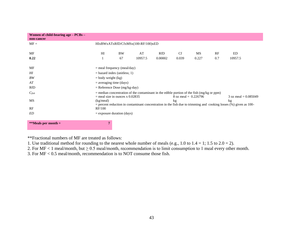| Women of child-bearing age - PCBs -<br>non-cancer |                                                                                                                                                                                       |                              |         |         |           |       |     |         |  |
|---------------------------------------------------|---------------------------------------------------------------------------------------------------------------------------------------------------------------------------------------|------------------------------|---------|---------|-----------|-------|-----|---------|--|
| $MF =$                                            | HIxBWxATxRfD/CfxMSx(100-RF/100)xED                                                                                                                                                    |                              |         |         |           |       |     |         |  |
| MF                                                | HI                                                                                                                                                                                    | <b>BW</b>                    | AT      | RfD     | <b>Cf</b> | MS    | RF  | ED      |  |
| 0.22                                              |                                                                                                                                                                                       | 67                           | 10957.5 | 0.00002 | 0.039     | 0.227 | 0.7 | 10957.5 |  |
| MF                                                | $=$ meal frequency (meal/day)                                                                                                                                                         |                              |         |         |           |       |     |         |  |
| $H\!I$                                            | $=$ hazard index (unitless; 1)                                                                                                                                                        |                              |         |         |           |       |     |         |  |
| BW                                                | $=$ body weight (kg)                                                                                                                                                                  |                              |         |         |           |       |     |         |  |
| AT                                                | $=$ averaging time (days)                                                                                                                                                             |                              |         |         |           |       |     |         |  |
| <b>RfD</b>                                        | $=$ Reference Dose (mg/kg-day)                                                                                                                                                        |                              |         |         |           |       |     |         |  |
| $C_{fish}$                                        | $=$ median concentration of the contaminant in the edible portion of the fish (mg/kg or ppm)<br>$=$ meal size in ounces x 0.02835<br>8 oz meal = $0.226796$<br>3 oz meal $= 0.085049$ |                              |         |         |           |       |     |         |  |
| MS.                                               | (kg/meal)<br>kg<br>kg<br>$=$ percent reduction in contaminant concentration in the fish due to trimming and cooking losses $(\%)$ given as 100-                                       |                              |         |         |           |       |     |         |  |
| RF                                                | RF/100                                                                                                                                                                                |                              |         |         |           |       |     |         |  |
| ED                                                |                                                                                                                                                                                       | $=$ exposure duration (days) |         |         |           |       |     |         |  |
| **Meals per month $=$                             | 7                                                                                                                                                                                     |                              |         |         |           |       |     |         |  |

\*\*Fractional numbers of MF are treated as follows:

1. Use traditional method for rounding to the nearest whole number of meals (e.g., 1.0 to  $1.4 = 1$ ; 1.5 to  $2.0 = 2$ ).

2. For  $MF < 1$  meal/month, but  $\ge 0.5$  meal/month, recommendation is to limit consumption to 1 meal every other month.